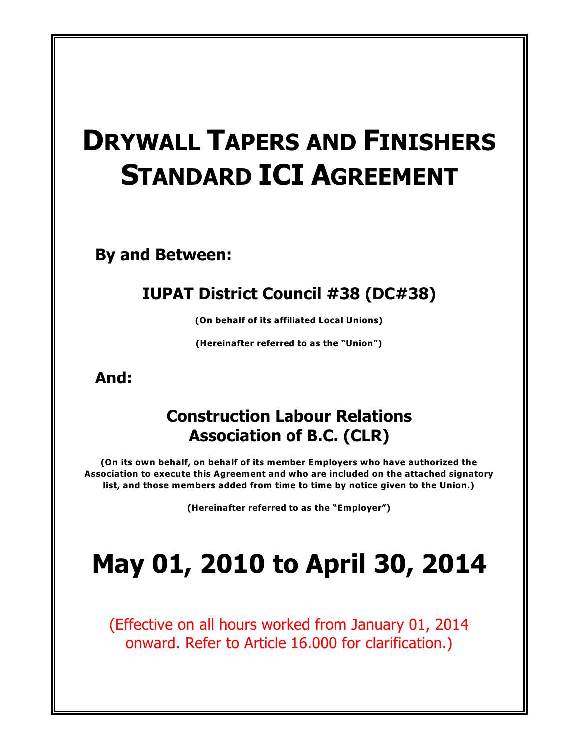# **DRYWALL TAPERS AND FINISHERS STANDARD ICI AGREEMENT**

**By and Between:**

# **IUPAT District Council #38 (DC#38)**

**(On behalf of its affiliated Local Unions)**

**(Hereinafter referred to as the "Union")**

**And:**

# **Construction Labour Relations Association of B.C. (CLR)**

**(On its own behalf, on behalf of its member Employers who have authorized the Association to execute this Agreement and who are included on the attached signatory list, and those members added from time to time by notice given to the Union.)**

**(Hereinafter referred to as the "Employer")**

# **May 01, 2010 to April 30, 2014**

(Effective on all hours worked from January 01, 2014 onward. Refer to Article 16.000 for clarification.)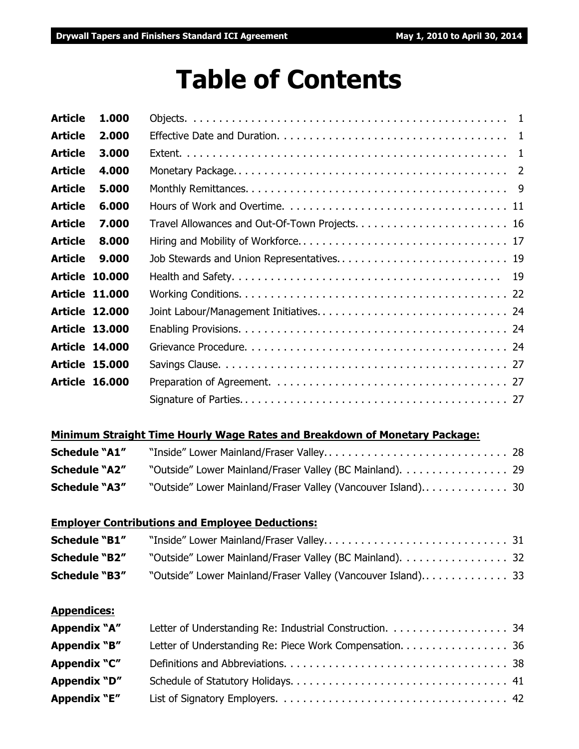# **Table of Contents**

| <b>Article</b> | 1.000                 |  |
|----------------|-----------------------|--|
| <b>Article</b> | 2.000                 |  |
| <b>Article</b> | 3.000                 |  |
| <b>Article</b> | 4.000                 |  |
| <b>Article</b> | 5.000                 |  |
| <b>Article</b> | 6.000                 |  |
| <b>Article</b> | 7.000                 |  |
| <b>Article</b> | 8.000                 |  |
| <b>Article</b> | 9.000                 |  |
|                | <b>Article 10.000</b> |  |
|                | <b>Article 11.000</b> |  |
|                | <b>Article 12.000</b> |  |
|                | <b>Article 13.000</b> |  |
|                | <b>Article 14,000</b> |  |
|                | <b>Article 15.000</b> |  |
|                | <b>Article 16.000</b> |  |
|                |                       |  |
|                |                       |  |

# **Minimum Straight Time Hourly Wage Rates and Breakdown of Monetary Package:**

| <b>Schedule "A1"</b> |                                                          |  |
|----------------------|----------------------------------------------------------|--|
| <b>Schedule "A2"</b> | "Outside" Lower Mainland/Fraser Valley (BC Mainland). 29 |  |
| <b>Schedule "A3"</b> |                                                          |  |

# **Employer Contributions and Employee Deductions:**

| <b>Schedule "B1"</b> |                                                          |  |
|----------------------|----------------------------------------------------------|--|
| <b>Schedule "B2"</b> | "Outside" Lower Mainland/Fraser Valley (BC Mainland). 32 |  |
| <b>Schedule "B3"</b> |                                                          |  |

# **Appendices:**

| Appendix "A"        |                                                         |  |
|---------------------|---------------------------------------------------------|--|
| Appendix "B"        | Letter of Understanding Re: Piece Work Compensation. 36 |  |
| Appendix "C"        |                                                         |  |
| Appendix "D"        |                                                         |  |
| <b>Appendix "E"</b> |                                                         |  |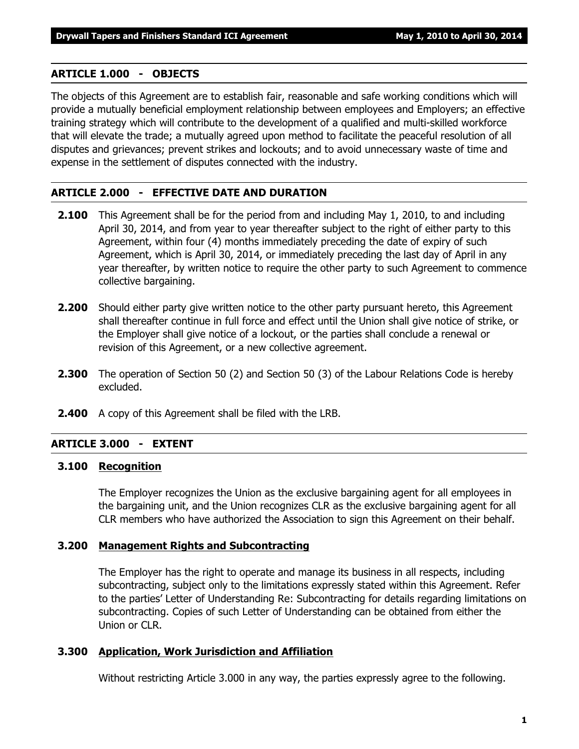#### **ARTICLE 1.000 - OBJECTS**

The objects of this Agreement are to establish fair, reasonable and safe working conditions which will provide a mutually beneficial employment relationship between employees and Employers; an effective training strategy which will contribute to the development of a qualified and multi-skilled workforce that will elevate the trade; a mutually agreed upon method to facilitate the peaceful resolution of all disputes and grievances; prevent strikes and lockouts; and to avoid unnecessary waste of time and expense in the settlement of disputes connected with the industry.

#### **ARTICLE 2.000 - EFFECTIVE DATE AND DURATION**

- **2.100** This Agreement shall be for the period from and including May 1, 2010, to and including April 30, 2014, and from year to year thereafter subject to the right of either party to this Agreement, within four (4) months immediately preceding the date of expiry of such Agreement, which is April 30, 2014, or immediately preceding the last day of April in any year thereafter, by written notice to require the other party to such Agreement to commence collective bargaining.
- **2.200** Should either party give written notice to the other party pursuant hereto, this Agreement shall thereafter continue in full force and effect until the Union shall give notice of strike, or the Employer shall give notice of a lockout, or the parties shall conclude a renewal or revision of this Agreement, or a new collective agreement.
- **2.300** The operation of Section 50 (2) and Section 50 (3) of the *Labour Relations Code* is hereby excluded.
- **2.400** A copy of this Agreement shall be filed with the LRB.

## **ARTICLE 3.000 - EXTENT**

#### **3.100 Recognition**

The Employer recognizes the Union as the exclusive bargaining agent for all employees in the bargaining unit, and the Union recognizes CLR as the exclusive bargaining agent for all CLR members who have authorized the Association to sign this Agreement on their behalf.

#### **3.200 Management Rights and Subcontracting**

The Employer has the right to operate and manage its business in all respects, including subcontracting, subject only to the limitations expressly stated within this Agreement. Refer to the parties' Letter of Understanding Re: Subcontracting for details regarding limitations on subcontracting. Copies of such Letter of Understanding can be obtained from either the Union or CLR.

#### **3.300 Application, Work Jurisdiction and Affiliation**

Without restricting Article 3.000 in any way, the parties expressly agree to the following.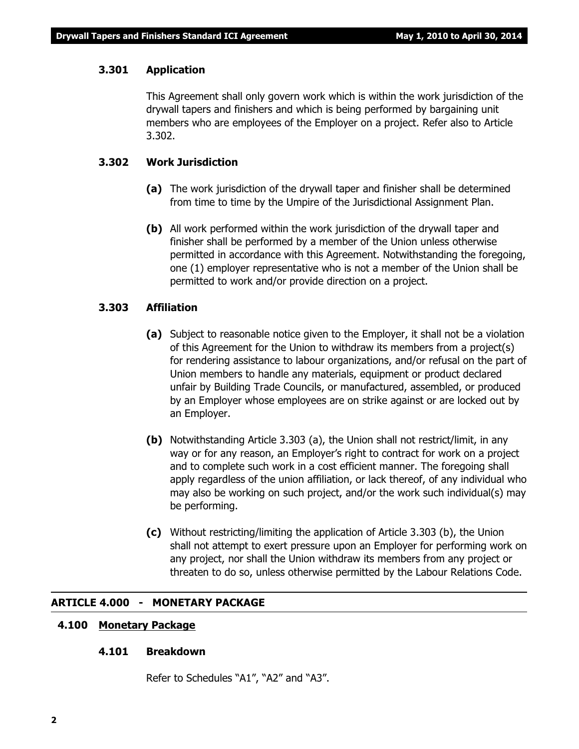#### **3.301 Application**

This Agreement shall only govern work which is within the work jurisdiction of the drywall tapers and finishers and which is being performed by bargaining unit members who are employees of the Employer on a project. Refer also to Article 3.302.

#### **3.302 Work Jurisdiction**

- **(a)** The work jurisdiction of the drywall taper and finisher shall be determined from time to time by the Umpire of the Jurisdictional Assignment Plan.
- **(b)** All work performed within the work jurisdiction of the drywall taper and finisher shall be performed by a member of the Union unless otherwise permitted in accordance with this Agreement. Notwithstanding the foregoing, one (1) employer representative who is not a member of the Union shall be permitted to work and/or provide direction on a project.

#### **3.303 Affiliation**

- **(a)** Subject to reasonable notice given to the Employer, it shall not be a violation of this Agreement for the Union to withdraw its members from a project(s) for rendering assistance to labour organizations, and/or refusal on the part of Union members to handle any materials, equipment or product declared unfair by Building Trade Councils, or manufactured, assembled, or produced by an Employer whose employees are on strike against or are locked out by an Employer.
- **(b)** Notwithstanding Article 3.303 (a), the Union shall not restrict/limit, in any way or for any reason, an Employer's right to contract for work on a project and to complete such work in a cost efficient manner. The foregoing shall apply regardless of the union affiliation, or lack thereof, of any individual who may also be working on such project, and/or the work such individual(s) may be performing.
- **(c)** Without restricting/limiting the application of Article 3.303 (b), the Union shall not attempt to exert pressure upon an Employer for performing work on any project, nor shall the Union withdraw its members from any project or threaten to do so, unless otherwise permitted by the *Labour Relations Code*.

#### **ARTICLE 4.000 - MONETARY PACKAGE**

#### **4.100 Monetary Package**

#### **4.101 Breakdown**

Refer to Schedules "A1", "A2" and "A3".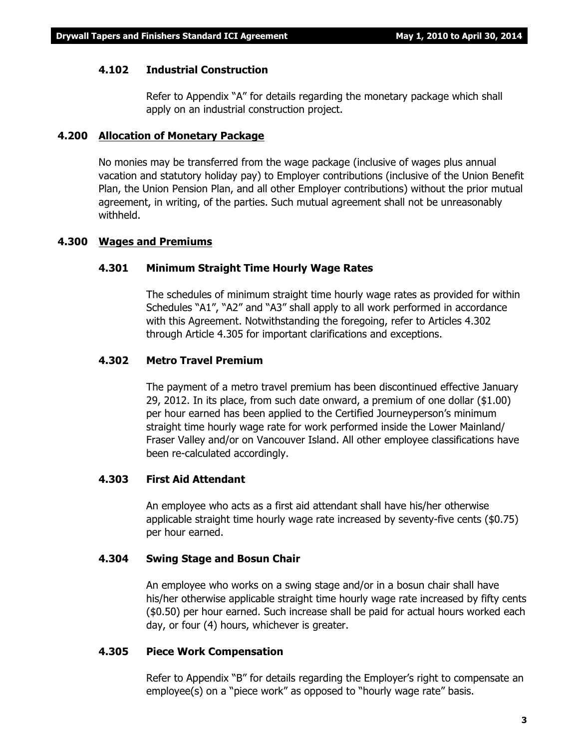#### **4.102 Industrial Construction**

Refer to Appendix "A" for details regarding the monetary package which shall apply on an industrial construction project.

#### **4.200 Allocation of Monetary Package**

No monies may be transferred from the wage package (inclusive of wages plus annual vacation and statutory holiday pay) to Employer contributions (inclusive of the Union Benefit Plan, the Union Pension Plan, and all other Employer contributions) without the prior mutual agreement, in writing, of the parties. Such mutual agreement shall not be unreasonably withheld.

#### **4.300 Wages and Premiums**

#### **4.301 Minimum Straight Time Hourly Wage Rates**

The schedules of minimum straight time hourly wage rates as provided for within Schedules "A1", "A2" and "A3" shall apply to all work performed in accordance with this Agreement. Notwithstanding the foregoing, refer to Articles 4.302 through Article 4.305 for important clarifications and exceptions.

#### **4.302 Metro Travel Premium**

The payment of a metro travel premium has been discontinued effective January 29, 2012. In its place, from such date onward, a premium of one dollar (\$1.00) per hour earned has been applied to the Certified Journeyperson's minimum straight time hourly wage rate for work performed inside the Lower Mainland/ Fraser Valley and/or on Vancouver Island. All other employee classifications have been re-calculated accordingly.

#### **4.303 First Aid Attendant**

An employee who acts as a first aid attendant shall have his/her otherwise applicable straight time hourly wage rate increased by seventy-five cents (\$0.75) per hour earned.

#### **4.304 Swing Stage and Bosun Chair**

An employee who works on a swing stage and/or in a bosun chair shall have his/her otherwise applicable straight time hourly wage rate increased by fifty cents (\$0.50) per hour earned. Such increase shall be paid for actual hours worked each day, or four (4) hours, whichever is greater.

#### **4.305 Piece Work Compensation**

Refer to Appendix "B" for details regarding the Employer's right to compensate an employee(s) on a "piece work" as opposed to "hourly wage rate" basis.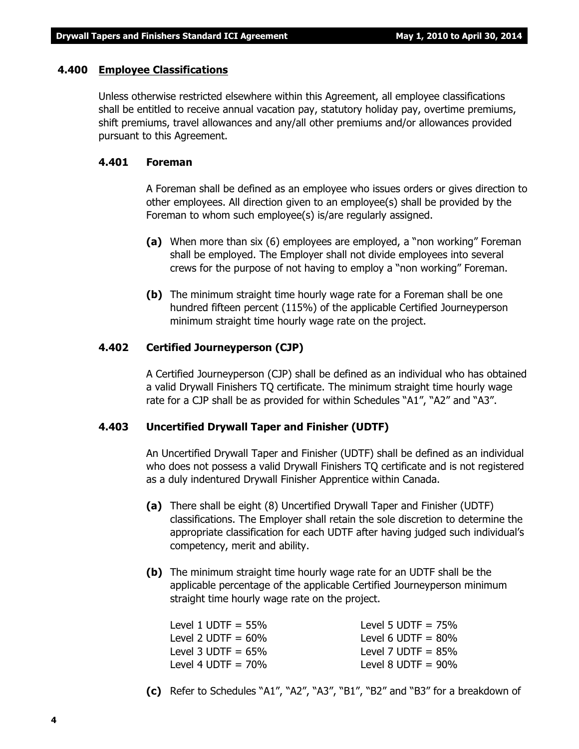#### **4.400 Employee Classifications**

Unless otherwise restricted elsewhere within this Agreement, all employee classifications shall be entitled to receive annual vacation pay, statutory holiday pay, overtime premiums, shift premiums, travel allowances and any/all other premiums and/or allowances provided pursuant to this Agreement.

#### **4.401 Foreman**

A Foreman shall be defined as an employee who issues orders or gives direction to other employees. All direction given to an employee(s) shall be provided by the Foreman to whom such employee(s) is/are regularly assigned.

- **(a)** When more than six (6) employees are employed, a "non working" Foreman shall be employed. The Employer shall not divide employees into several crews for the purpose of not having to employ a "non working" Foreman.
- **(b)** The minimum straight time hourly wage rate for a Foreman shall be one hundred fifteen percent (115%) of the applicable Certified Journeyperson minimum straight time hourly wage rate on the project.

#### **4.402 Certified Journeyperson (CJP)**

A Certified Journeyperson (CJP) shall be defined as an individual who has obtained a valid Drywall Finishers TQ certificate. The minimum straight time hourly wage rate for a CJP shall be as provided for within Schedules "A1", "A2" and "A3".

#### **4.403 Uncertified Drywall Taper and Finisher (UDTF)**

An Uncertified Drywall Taper and Finisher (UDTF) shall be defined as an individual who does not possess a valid Drywall Finishers TQ certificate and is not registered as a duly indentured Drywall Finisher Apprentice within Canada.

- **(a)** There shall be eight (8) Uncertified Drywall Taper and Finisher (UDTF) classifications. The Employer shall retain the sole discretion to determine the appropriate classification for each UDTF after having judged such individual's competency, merit and ability.
- **(b)** The minimum straight time hourly wage rate for an UDTF shall be the applicable percentage of the applicable Certified Journeyperson minimum straight time hourly wage rate on the project.

| Level 1 UDTF = $55\%$ | Level 5 UDTF = $75\%$ |
|-----------------------|-----------------------|
| Level 2 UDTF $= 60\%$ | Level 6 UDTF $= 80\%$ |
| Level 3 UDTF = $65\%$ | Level 7 UDTF $= 85\%$ |
| Level 4 UDTF $= 70\%$ | Level 8 UDTF $= 90\%$ |

**(c)** Refer to Schedules "A1", "A2", "A3", "B1", "B2" and "B3" for a breakdown of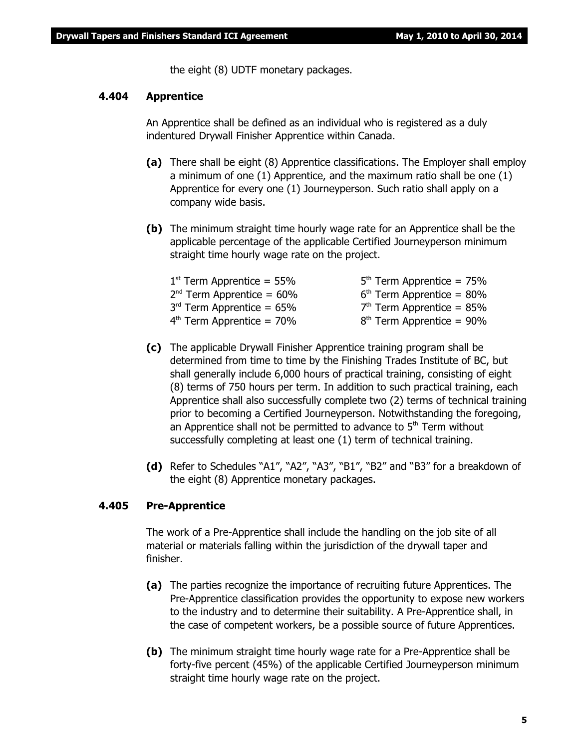the eight (8) UDTF monetary packages.

#### **4.404 Apprentice**

An Apprentice shall be defined as an individual who is registered as a duly indentured Drywall Finisher Apprentice within Canada.

- **(a)** There shall be eight (8) Apprentice classifications. The Employer shall employ a minimum of one (1) Apprentice, and the maximum ratio shall be one (1) Apprentice for every one (1) Journeyperson. Such ratio shall apply on a company wide basis.
- **(b)** The minimum straight time hourly wage rate for an Apprentice shall be the applicable percentage of the applicable Certified Journeyperson minimum straight time hourly wage rate on the project.

| $1st$ Term Apprentice = 55% | $5th$ Term Apprentice = 75% |
|-----------------------------|-----------------------------|
| $2nd$ Term Apprentice = 60% | $6th$ Term Apprentice = 80% |
| $3rd$ Term Apprentice = 65% | $7th$ Term Apprentice = 85% |
| $4th$ Term Apprentice = 70% | $8th$ Term Apprentice = 90% |

- **(c)** The applicable Drywall Finisher Apprentice training program shall be determined from time to time by the Finishing Trades Institute of BC, but shall generally include 6,000 hours of practical training, consisting of eight (8) terms of 750 hours per term. In addition to such practical training, each Apprentice shall also successfully complete two (2) terms of technical training prior to becoming a Certified Journeyperson. Notwithstanding the foregoing, an Apprentice shall not be permitted to advance to  $5<sup>th</sup>$  Term without successfully completing at least one (1) term of technical training.
- **(d)** Refer to Schedules "A1", "A2", "A3", "B1", "B2" and "B3" for a breakdown of the eight (8) Apprentice monetary packages.

#### **4.405 Pre-Apprentice**

The work of a Pre-Apprentice shall include the handling on the job site of all material or materials falling within the jurisdiction of the drywall taper and finisher.

- **(a)** The parties recognize the importance of recruiting future Apprentices. The Pre-Apprentice classification provides the opportunity to expose new workers to the industry and to determine their suitability. A Pre-Apprentice shall, in the case of competent workers, be a possible source of future Apprentices.
- **(b)** The minimum straight time hourly wage rate for a Pre-Apprentice shall be forty-five percent (45%) of the applicable Certified Journeyperson minimum straight time hourly wage rate on the project.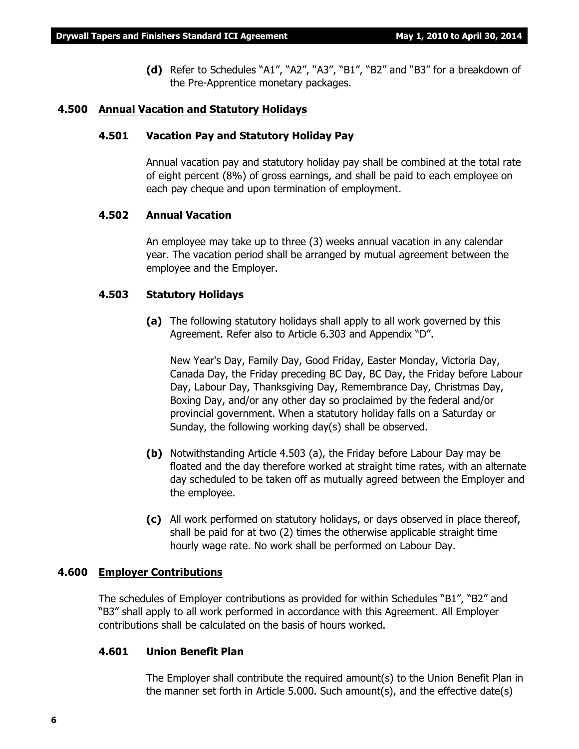**(d)** Refer to Schedules "A1", "A2", "A3", "B1", "B2" and "B3" for a breakdown of the Pre-Apprentice monetary packages.

#### **4.500 Annual Vacation and Statutory Holidays**

#### **4.501 Vacation Pay and Statutory Holiday Pay**

Annual vacation pay and statutory holiday pay shall be combined at the total rate of eight percent (8%) of gross earnings, and shall be paid to each employee on each pay cheque and upon termination of employment.

#### **4.502 Annual Vacation**

An employee may take up to three (3) weeks annual vacation in any calendar year. The vacation period shall be arranged by mutual agreement between the employee and the Employer.

#### **4.503 Statutory Holidays**

**(a)** The following statutory holidays shall apply to all work governed by this Agreement. Refer also to Article 6.303 and Appendix "D".

New Year's Day, Family Day, Good Friday, Easter Monday, Victoria Day, Canada Day, the Friday preceding BC Day, BC Day, the Friday before Labour Day, Labour Day, Thanksgiving Day, Remembrance Day, Christmas Day, Boxing Day, and/or any other day so proclaimed by the federal and/or provincial government. When a statutory holiday falls on a Saturday or Sunday, the following working day(s) shall be observed.

- **(b)** Notwithstanding Article 4.503 (a), the Friday before Labour Day may be floated and the day therefore worked at straight time rates, with an alternate day scheduled to be taken off as mutually agreed between the Employer and the employee.
- **(c)** All work performed on statutory holidays, or days observed in place thereof, shall be paid for at two (2) times the otherwise applicable straight time hourly wage rate. No work shall be performed on Labour Day.

#### **4.600 Employer Contributions**

The schedules of Employer contributions as provided for within Schedules "B1", "B2" and "B3" shall apply to all work performed in accordance with this Agreement. All Employer contributions shall be calculated on the basis of hours worked.

#### **4.601 Union Benefit Plan**

The Employer shall contribute the required amount(s) to the Union Benefit Plan in the manner set forth in Article 5.000. Such amount(s), and the effective date(s)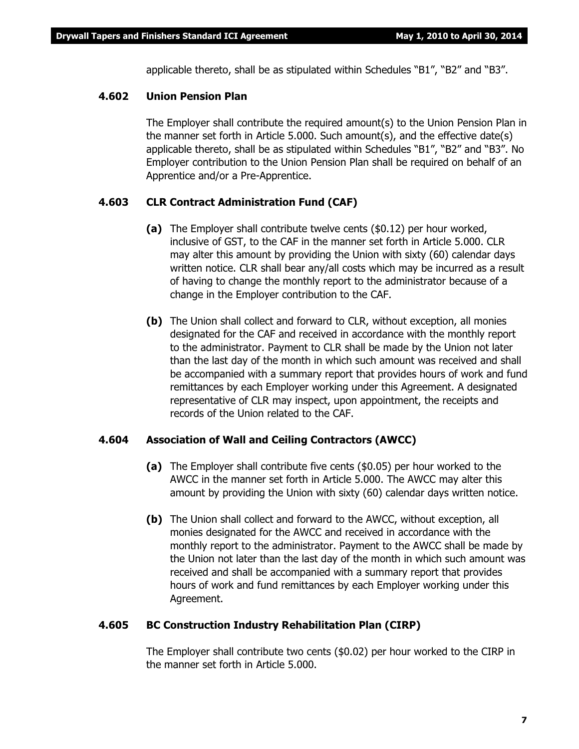applicable thereto, shall be as stipulated within Schedules "B1", "B2" and "B3".

#### **4.602 Union Pension Plan**

The Employer shall contribute the required amount(s) to the Union Pension Plan in the manner set forth in Article 5.000. Such amount(s), and the effective date(s) applicable thereto, shall be as stipulated within Schedules "B1", "B2" and "B3". No Employer contribution to the Union Pension Plan shall be required on behalf of an Apprentice and/or a Pre-Apprentice.

#### **4.603 CLR Contract Administration Fund (CAF)**

- **(a)** The Employer shall contribute twelve cents (\$0.12) per hour worked, inclusive of GST, to the CAF in the manner set forth in Article 5.000. CLR may alter this amount by providing the Union with sixty (60) calendar days written notice. CLR shall bear any/all costs which may be incurred as a result of having to change the monthly report to the administrator because of a change in the Employer contribution to the CAF.
- **(b)** The Union shall collect and forward to CLR, without exception, all monies designated for the CAF and received in accordance with the monthly report to the administrator. Payment to CLR shall be made by the Union not later than the last day of the month in which such amount was received and shall be accompanied with a summary report that provides hours of work and fund remittances by each Employer working under this Agreement. A designated representative of CLR may inspect, upon appointment, the receipts and records of the Union related to the CAF.

#### **4.604 Association of Wall and Ceiling Contractors (AWCC)**

- **(a)** The Employer shall contribute five cents (\$0.05) per hour worked to the AWCC in the manner set forth in Article 5.000. The AWCC may alter this amount by providing the Union with sixty (60) calendar days written notice.
- **(b)** The Union shall collect and forward to the AWCC, without exception, all monies designated for the AWCC and received in accordance with the monthly report to the administrator. Payment to the AWCC shall be made by the Union not later than the last day of the month in which such amount was received and shall be accompanied with a summary report that provides hours of work and fund remittances by each Employer working under this Agreement.

#### **4.605 BC Construction Industry Rehabilitation Plan (CIRP)**

The Employer shall contribute two cents (\$0.02) per hour worked to the CIRP in the manner set forth in Article 5.000.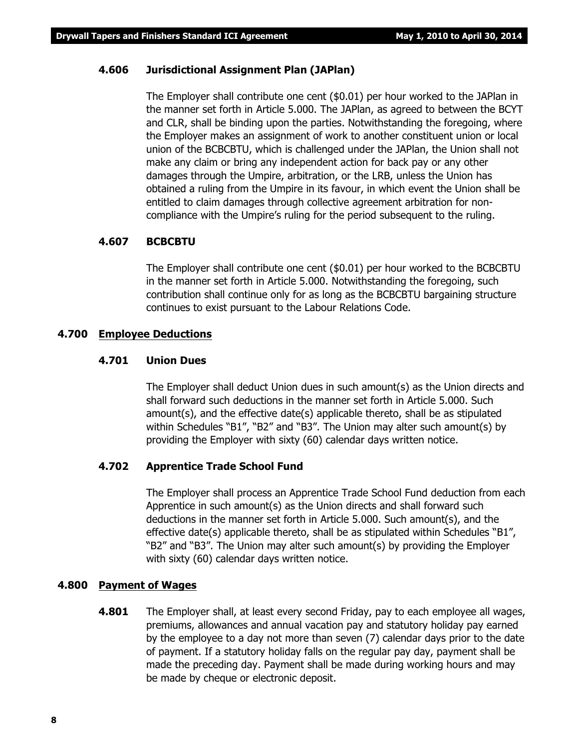#### **4.606 Jurisdictional Assignment Plan (JAPlan)**

The Employer shall contribute one cent (\$0.01) per hour worked to the JAPlan in the manner set forth in Article 5.000. The JAPlan, as agreed to between the BCYT and CLR, shall be binding upon the parties. Notwithstanding the foregoing, where the Employer makes an assignment of work to another constituent union or local union of the BCBCBTU, which is challenged under the JAPlan, the Union shall not make any claim or bring any independent action for back pay or any other damages through the Umpire, arbitration, or the LRB, unless the Union has obtained a ruling from the Umpire in its favour, in which event the Union shall be entitled to claim damages through collective agreement arbitration for noncompliance with the Umpire's ruling for the period subsequent to the ruling.

#### **4.607 BCBCBTU**

The Employer shall contribute one cent (\$0.01) per hour worked to the BCBCBTU in the manner set forth in Article 5.000. Notwithstanding the foregoing, such contribution shall continue only for as long as the BCBCBTU bargaining structure continues to exist pursuant to the *Labour Relations Code*.

#### **4.700 Employee Deductions**

#### **4.701 Union Dues**

The Employer shall deduct Union dues in such amount(s) as the Union directs and shall forward such deductions in the manner set forth in Article 5.000. Such amount(s), and the effective date(s) applicable thereto, shall be as stipulated within Schedules "B1", "B2" and "B3". The Union may alter such amount(s) by providing the Employer with sixty (60) calendar days written notice.

#### **4.702 Apprentice Trade School Fund**

The Employer shall process an Apprentice Trade School Fund deduction from each Apprentice in such amount(s) as the Union directs and shall forward such deductions in the manner set forth in Article 5.000. Such amount(s), and the effective date(s) applicable thereto, shall be as stipulated within Schedules "B1", "B2" and "B3". The Union may alter such amount(s) by providing the Employer with sixty (60) calendar days written notice.

#### **4.800 Payment of Wages**

**4.801** The Employer shall, at least every second Friday, pay to each employee all wages, premiums, allowances and annual vacation pay and statutory holiday pay earned by the employee to a day not more than seven (7) calendar days prior to the date of payment. If a statutory holiday falls on the regular pay day, payment shall be made the preceding day. Payment shall be made during working hours and may be made by cheque or electronic deposit.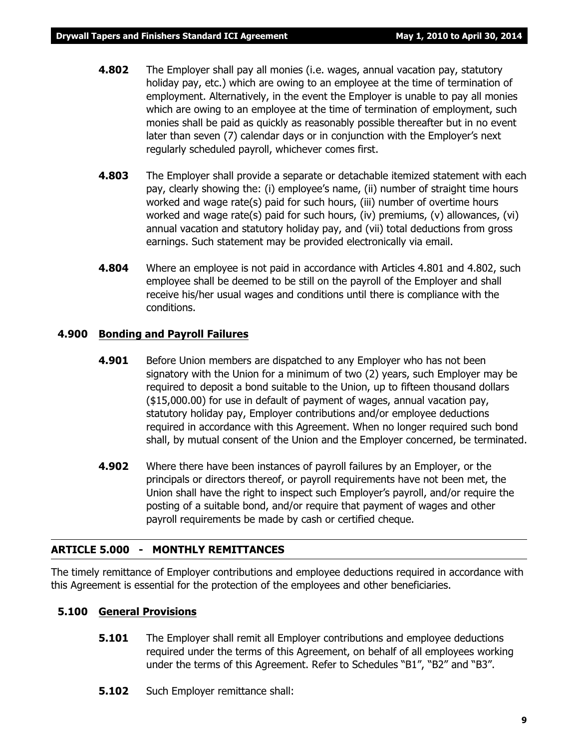- **4.802** The Employer shall pay all monies (i.e. wages, annual vacation pay, statutory holiday pay, etc.) which are owing to an employee at the time of termination of employment. Alternatively, in the event the Employer is unable to pay all monies which are owing to an employee at the time of termination of employment, such monies shall be paid as quickly as reasonably possible thereafter but in no event later than seven (7) calendar days or in conjunction with the Employer's next regularly scheduled payroll, whichever comes first.
- **4.803** The Employer shall provide a separate or detachable itemized statement with each pay, clearly showing the: (i) employee's name, (ii) number of straight time hours worked and wage rate(s) paid for such hours, (iii) number of overtime hours worked and wage rate(s) paid for such hours, (iv) premiums, (v) allowances, (vi) annual vacation and statutory holiday pay, and (vii) total deductions from gross earnings. Such statement may be provided electronically via email.
- **4.804** Where an employee is not paid in accordance with Articles 4.801 and 4.802, such employee shall be deemed to be still on the payroll of the Employer and shall receive his/her usual wages and conditions until there is compliance with the conditions.

#### **4.900 Bonding and Payroll Failures**

- **4.901** Before Union members are dispatched to any Employer who has not been signatory with the Union for a minimum of two (2) years, such Employer may be required to deposit a bond suitable to the Union, up to fifteen thousand dollars (\$15,000.00) for use in default of payment of wages, annual vacation pay, statutory holiday pay, Employer contributions and/or employee deductions required in accordance with this Agreement. When no longer required such bond shall, by mutual consent of the Union and the Employer concerned, be terminated.
- **4.902** Where there have been instances of payroll failures by an Employer, or the principals or directors thereof, or payroll requirements have not been met, the Union shall have the right to inspect such Employer's payroll, and/or require the posting of a suitable bond, and/or require that payment of wages and other payroll requirements be made by cash or certified cheque.

#### **ARTICLE 5.000 - MONTHLY REMITTANCES**

The timely remittance of Employer contributions and employee deductions required in accordance with this Agreement is essential for the protection of the employees and other beneficiaries.

#### **5.100 General Provisions**

- **5.101** The Employer shall remit all Employer contributions and employee deductions required under the terms of this Agreement, on behalf of all employees working under the terms of this Agreement. Refer to Schedules "B1", "B2" and "B3".
- **5.102** Such Employer remittance shall: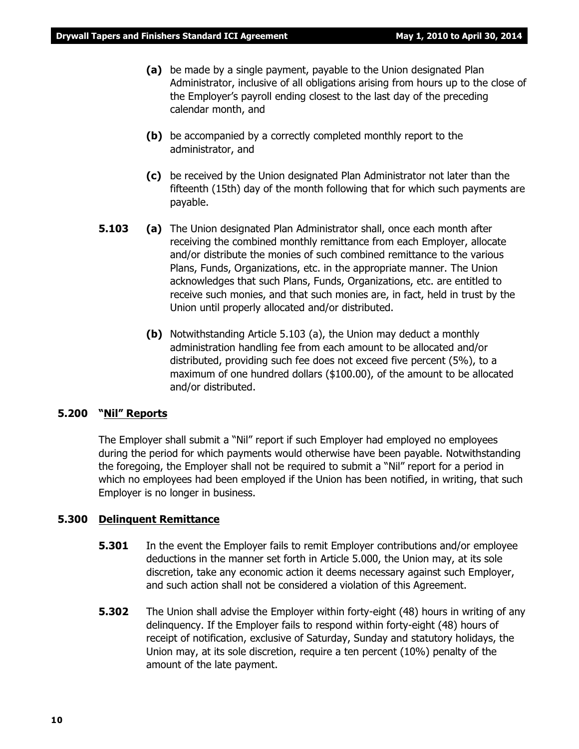- **(a)** be made by a single payment, payable to the Union designated Plan Administrator, inclusive of all obligations arising from hours up to the close of the Employer's payroll ending closest to the last day of the preceding calendar month, and
- **(b)** be accompanied by a correctly completed monthly report to the administrator, and
- **(c)** be received by the Union designated Plan Administrator not later than the fifteenth (15th) day of the month following that for which such payments are payable.
- **5.103 (a)** The Union designated Plan Administrator shall, once each month after receiving the combined monthly remittance from each Employer, allocate and/or distribute the monies of such combined remittance to the various Plans, Funds, Organizations, etc. in the appropriate manner. The Union acknowledges that such Plans, Funds, Organizations, etc. are entitled to receive such monies, and that such monies are, in fact, held in trust by the Union until properly allocated and/or distributed.
	- **(b)** Notwithstanding Article 5.103 (a), the Union may deduct a monthly administration handling fee from each amount to be allocated and/or distributed, providing such fee does not exceed five percent (5%), to a maximum of one hundred dollars (\$100.00), of the amount to be allocated and/or distributed.

#### **5.200 "Nil" Reports**

The Employer shall submit a "Nil" report if such Employer had employed no employees during the period for which payments would otherwise have been payable. Notwithstanding the foregoing, the Employer shall not be required to submit a "Nil" report for a period in which no employees had been employed if the Union has been notified, in writing, that such Employer is no longer in business.

#### **5.300 Delinquent Remittance**

- **5.301** In the event the Employer fails to remit Employer contributions and/or employee deductions in the manner set forth in Article 5.000, the Union may, at its sole discretion, take any economic action it deems necessary against such Employer, and such action shall not be considered a violation of this Agreement.
- **5.302** The Union shall advise the Employer within forty-eight (48) hours in writing of any delinquency. If the Employer fails to respond within forty-eight (48) hours of receipt of notification, exclusive of Saturday, Sunday and statutory holidays, the Union may, at its sole discretion, require a ten percent (10%) penalty of the amount of the late payment.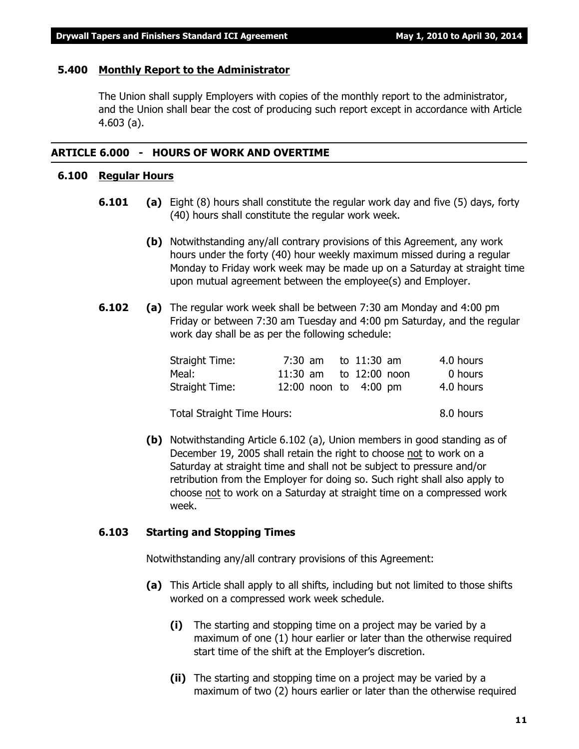#### **5.400 Monthly Report to the Administrator**

The Union shall supply Employers with copies of the monthly report to the administrator, and the Union shall bear the cost of producing such report except in accordance with Article 4.603 (a).

#### **ARTICLE 6.000 - HOURS OF WORK AND OVERTIME**

### **6.100 Regular Hours**

- **6.101 (a)** Eight (8) hours shall constitute the regular work day and five (5) days, forty (40) hours shall constitute the regular work week.
	- **(b)** Notwithstanding any/all contrary provisions of this Agreement, any work hours under the forty (40) hour weekly maximum missed during a regular Monday to Friday work week may be made up on a Saturday at straight time upon mutual agreement between the employee(s) and Employer.
- **6.102 (a)** The regular work week shall be between 7:30 am Monday and 4:00 pm Friday or between 7:30 am Tuesday and 4:00 pm Saturday, and the regular work day shall be as per the following schedule:

| Straight Time:                    |  | 7:30 am to $11:30$ am   | 4.0 hours |
|-----------------------------------|--|-------------------------|-----------|
| Meal:                             |  | 11:30 am to 12:00 noon  | 0 hours   |
| Straight Time:                    |  | 12:00 noon to $4:00$ pm | 4.0 hours |
| <b>Total Straight Time Hours:</b> |  |                         | 8.0 hours |

**(b)** Notwithstanding Article 6.102 (a), Union members in good standing as of December 19, 2005 shall retain the right to choose not to work on a Saturday at straight time and shall not be subject to pressure and/or retribution from the Employer for doing so. Such right shall also apply to choose not to work on a Saturday at straight time on a compressed work week.

#### **6.103 Starting and Stopping Times**

Notwithstanding any/all contrary provisions of this Agreement:

- **(a)** This Article shall apply to all shifts, including but not limited to those shifts worked on a compressed work week schedule.
	- **(i)** The starting and stopping time on a project may be varied by a maximum of one (1) hour earlier or later than the otherwise required start time of the shift at the Employer's discretion.
	- **(ii)** The starting and stopping time on a project may be varied by a maximum of two (2) hours earlier or later than the otherwise required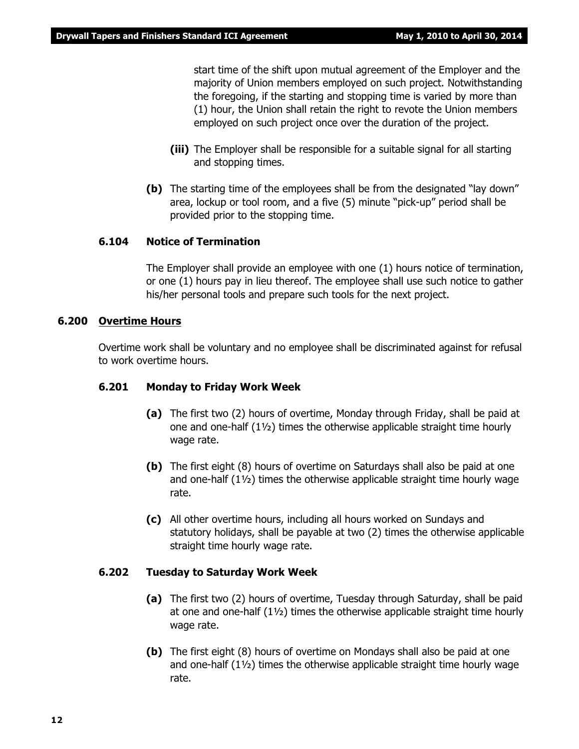start time of the shift upon mutual agreement of the Employer and the majority of Union members employed on such project. Notwithstanding the foregoing, if the starting and stopping time is varied by more than (1) hour, the Union shall retain the right to revote the Union members employed on such project once over the duration of the project.

- **(iii)** The Employer shall be responsible for a suitable signal for all starting and stopping times.
- **(b)** The starting time of the employees shall be from the designated "lay down" area, lockup or tool room, and a five (5) minute "pick-up" period shall be provided prior to the stopping time.

#### **6.104 Notice of Termination**

The Employer shall provide an employee with one (1) hours notice of termination, or one (1) hours pay in lieu thereof. The employee shall use such notice to gather his/her personal tools and prepare such tools for the next project.

#### **6.200 Overtime Hours**

Overtime work shall be voluntary and no employee shall be discriminated against for refusal to work overtime hours.

#### **6.201 Monday to Friday Work Week**

- **(a)** The first two (2) hours of overtime, Monday through Friday, shall be paid at one and one-half (1½) times the otherwise applicable straight time hourly wage rate.
- **(b)** The first eight (8) hours of overtime on Saturdays shall also be paid at one and one-half  $(1\frac{1}{2})$  times the otherwise applicable straight time hourly wage rate.
- **(c)** All other overtime hours, including all hours worked on Sundays and statutory holidays, shall be payable at two (2) times the otherwise applicable straight time hourly wage rate.

#### **6.202 Tuesday to Saturday Work Week**

- **(a)** The first two (2) hours of overtime, Tuesday through Saturday, shall be paid at one and one-half  $(1\frac{1}{2})$  times the otherwise applicable straight time hourly wage rate.
- **(b)** The first eight (8) hours of overtime on Mondays shall also be paid at one and one-half (1½) times the otherwise applicable straight time hourly wage rate.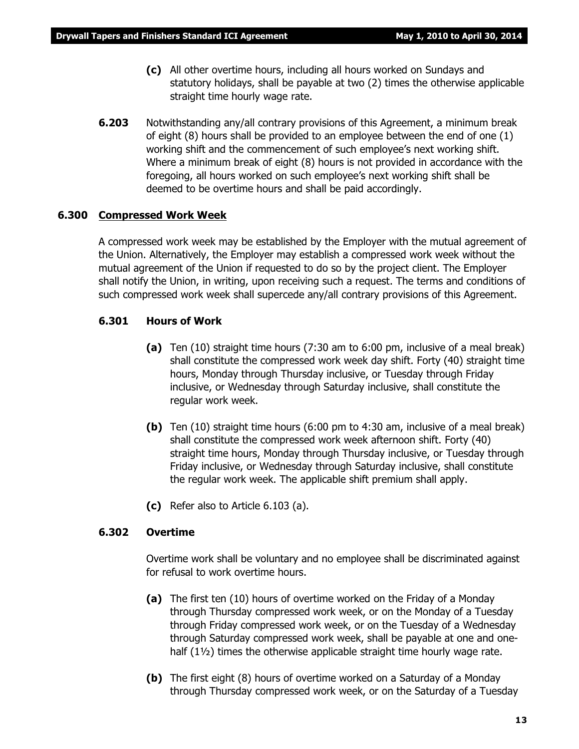- **(c)** All other overtime hours, including all hours worked on Sundays and statutory holidays, shall be payable at two (2) times the otherwise applicable straight time hourly wage rate.
- **6.203** Notwithstanding any/all contrary provisions of this Agreement, a minimum break of eight (8) hours shall be provided to an employee between the end of one (1) working shift and the commencement of such employee's next working shift. Where a minimum break of eight (8) hours is not provided in accordance with the foregoing, all hours worked on such employee's next working shift shall be deemed to be overtime hours and shall be paid accordingly.

#### **6.300 Compressed Work Week**

A compressed work week may be established by the Employer with the mutual agreement of the Union. Alternatively, the Employer may establish a compressed work week without the mutual agreement of the Union if requested to do so by the project client. The Employer shall notify the Union, in writing, upon receiving such a request. The terms and conditions of such compressed work week shall supercede any/all contrary provisions of this Agreement.

#### **6.301 Hours of Work**

- **(a)** Ten (10) straight time hours (7:30 am to 6:00 pm, inclusive of a meal break) shall constitute the compressed work week day shift. Forty (40) straight time hours, Monday through Thursday inclusive, or Tuesday through Friday inclusive, or Wednesday through Saturday inclusive, shall constitute the regular work week.
- **(b)** Ten (10) straight time hours (6:00 pm to 4:30 am, inclusive of a meal break) shall constitute the compressed work week afternoon shift. Forty (40) straight time hours, Monday through Thursday inclusive, or Tuesday through Friday inclusive, or Wednesday through Saturday inclusive, shall constitute the regular work week. The applicable shift premium shall apply.
- **(c)** Refer also to Article 6.103 (a).

#### **6.302 Overtime**

Overtime work shall be voluntary and no employee shall be discriminated against for refusal to work overtime hours.

- **(a)** The first ten (10) hours of overtime worked on the Friday of a Monday through Thursday compressed work week, or on the Monday of a Tuesday through Friday compressed work week, or on the Tuesday of a Wednesday through Saturday compressed work week, shall be payable at one and onehalf  $(1\frac{1}{2})$  times the otherwise applicable straight time hourly wage rate.
- **(b)** The first eight (8) hours of overtime worked on a Saturday of a Monday through Thursday compressed work week, or on the Saturday of a Tuesday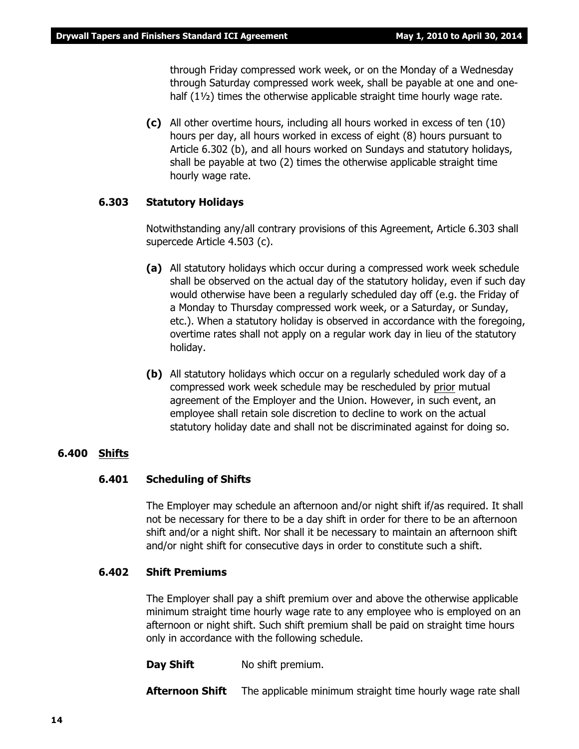through Friday compressed work week, or on the Monday of a Wednesday through Saturday compressed work week, shall be payable at one and onehalf  $(1\frac{1}{2})$  times the otherwise applicable straight time hourly wage rate.

**(c)** All other overtime hours, including all hours worked in excess of ten (10) hours per day, all hours worked in excess of eight (8) hours pursuant to Article 6.302 (b), and all hours worked on Sundays and statutory holidays, shall be payable at two (2) times the otherwise applicable straight time hourly wage rate.

#### **6.303 Statutory Holidays**

Notwithstanding any/all contrary provisions of this Agreement, Article 6.303 shall supercede Article 4.503 (c).

- **(a)** All statutory holidays which occur during a compressed work week schedule shall be observed on the actual day of the statutory holiday, even if such day would otherwise have been a regularly scheduled day off (e.g. the Friday of a Monday to Thursday compressed work week, or a Saturday, or Sunday, etc.). When a statutory holiday is observed in accordance with the foregoing, overtime rates shall not apply on a regular work day in lieu of the statutory holiday.
- **(b)** All statutory holidays which occur on a regularly scheduled work day of a compressed work week schedule may be rescheduled by prior mutual agreement of the Employer and the Union. However, in such event, an employee shall retain sole discretion to decline to work on the actual statutory holiday date and shall not be discriminated against for doing so.

#### **6.400 Shifts**

#### **6.401 Scheduling of Shifts**

The Employer may schedule an afternoon and/or night shift if/as required. It shall not be necessary for there to be a day shift in order for there to be an afternoon shift and/or a night shift. Nor shall it be necessary to maintain an afternoon shift and/or night shift for consecutive days in order to constitute such a shift.

#### **6.402 Shift Premiums**

The Employer shall pay a shift premium over and above the otherwise applicable minimum straight time hourly wage rate to any employee who is employed on an afternoon or night shift. Such shift premium shall be paid on straight time hours only in accordance with the following schedule.

**Day Shift** No shift premium.

**Afternoon Shift** The applicable minimum straight time hourly wage rate shall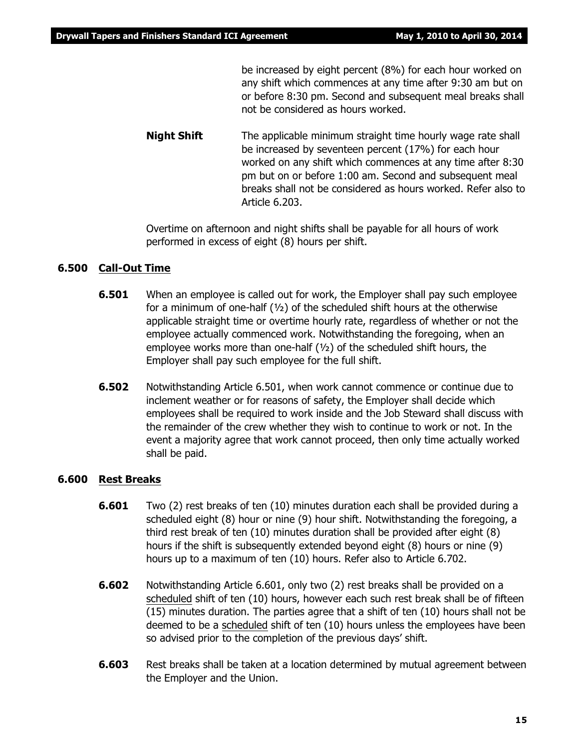be increased by eight percent (8%) for each hour worked on any shift which commences at any time after 9:30 am but on or before 8:30 pm. Second and subsequent meal breaks shall not be considered as hours worked.

**Night Shift** The applicable minimum straight time hourly wage rate shall be increased by seventeen percent (17%) for each hour worked on any shift which commences at any time after 8:30 pm but on or before 1:00 am. Second and subsequent meal breaks shall not be considered as hours worked. Refer also to Article 6.203.

Overtime on afternoon and night shifts shall be payable for all hours of work performed in excess of eight (8) hours per shift.

#### **6.500 Call-Out Time**

- **6.501** When an employee is called out for work, the Employer shall pay such employee for a minimum of one-half  $(y_2)$  of the scheduled shift hours at the otherwise applicable straight time or overtime hourly rate, regardless of whether or not the employee actually commenced work. Notwithstanding the foregoing, when an employee works more than one-half (½) of the scheduled shift hours, the Employer shall pay such employee for the full shift.
- **6.502** Notwithstanding Article 6.501, when work cannot commence or continue due to inclement weather or for reasons of safety, the Employer shall decide which employees shall be required to work inside and the Job Steward shall discuss with the remainder of the crew whether they wish to continue to work or not. In the event a majority agree that work cannot proceed, then only time actually worked shall be paid.

#### **6.600 Rest Breaks**

- **6.601** Two (2) rest breaks of ten (10) minutes duration each shall be provided during a scheduled eight (8) hour or nine (9) hour shift. Notwithstanding the foregoing, a third rest break of ten (10) minutes duration shall be provided after eight (8) hours if the shift is subsequently extended beyond eight (8) hours or nine (9) hours up to a maximum of ten (10) hours. Refer also to Article 6.702.
- **6.602** Notwithstanding Article 6.601, only two (2) rest breaks shall be provided on a scheduled shift of ten (10) hours, however each such rest break shall be of fifteen (15) minutes duration. The parties agree that a shift of ten (10) hours shall not be deemed to be a scheduled shift of ten (10) hours unless the employees have been so advised prior to the completion of the previous days' shift.
- **6.603** Rest breaks shall be taken at a location determined by mutual agreement between the Employer and the Union.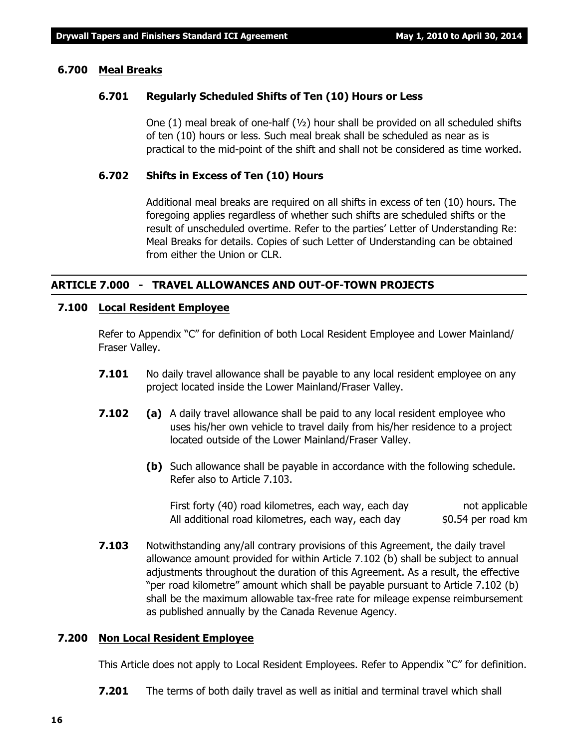#### **6.700 Meal Breaks**

#### **6.701 Regularly Scheduled Shifts of Ten (10) Hours or Less**

One (1) meal break of one-half  $(v_2)$  hour shall be provided on all scheduled shifts of ten (10) hours or less. Such meal break shall be scheduled as near as is practical to the mid-point of the shift and shall not be considered as time worked.

#### **6.702 Shifts in Excess of Ten (10) Hours**

Additional meal breaks are required on all shifts in excess of ten (10) hours. The foregoing applies regardless of whether such shifts are scheduled shifts or the result of unscheduled overtime. Refer to the parties' Letter of Understanding Re: Meal Breaks for details. Copies of such Letter of Understanding can be obtained from either the Union or CLR.

#### **ARTICLE 7.000 - TRAVEL ALLOWANCES AND OUT-OF-TOWN PROJECTS**

#### **7.100 Local Resident Employee**

Refer to Appendix "C" for definition of both Local Resident Employee and Lower Mainland/ Fraser Valley.

- **7.101** No daily travel allowance shall be payable to any local resident employee on any project located inside the Lower Mainland/Fraser Valley.
- **7.102 (a)** A daily travel allowance shall be paid to any local resident employee who uses his/her own vehicle to travel daily from his/her residence to a project located outside of the Lower Mainland/Fraser Valley.
	- **(b)** Such allowance shall be payable in accordance with the following schedule. Refer also to Article 7.103.

First forty (40) road kilometres, each way, each day not applicable All additional road kilometres, each way, each day  $$0.54$  per road km

**7.103** Notwithstanding any/all contrary provisions of this Agreement, the daily travel allowance amount provided for within Article 7.102 (b) shall be subject to annual adjustments throughout the duration of this Agreement. As a result, the effective "per road kilometre" amount which shall be payable pursuant to Article 7.102 (b) shall be the maximum allowable tax-free rate for mileage expense reimbursement as published annually by the Canada Revenue Agency.

#### **7.200 Non Local Resident Employee**

This Article does not apply to Local Resident Employees. Refer to Appendix "C" for definition.

**7.201** The terms of both daily travel as well as initial and terminal travel which shall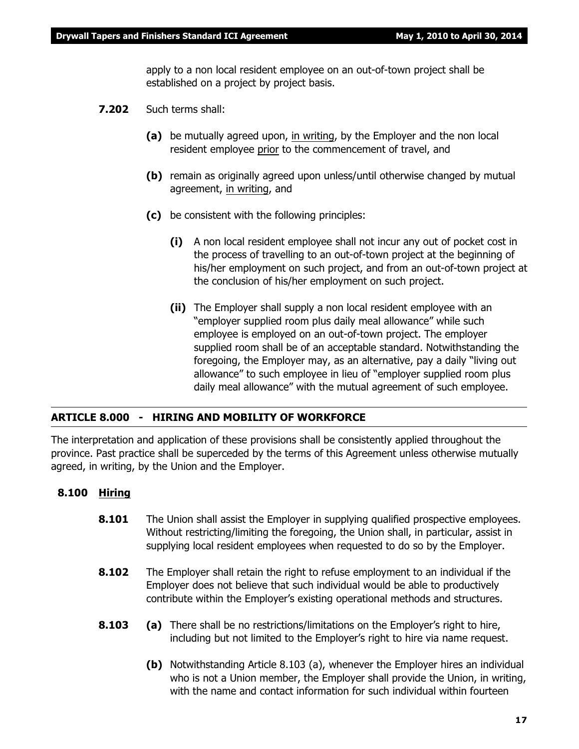apply to a non local resident employee on an out-of-town project shall be established on a project by project basis.

- **7.202** Such terms shall:
	- **(a)** be mutually agreed upon, in writing, by the Employer and the non local resident employee prior to the commencement of travel, and
	- **(b)** remain as originally agreed upon unless/until otherwise changed by mutual agreement, in writing, and
	- **(c)** be consistent with the following principles:
		- **(i)** A non local resident employee shall not incur any out of pocket cost in the process of travelling to an out-of-town project at the beginning of his/her employment on such project, and from an out-of-town project at the conclusion of his/her employment on such project.
		- **(ii)** The Employer shall supply a non local resident employee with an "employer supplied room plus daily meal allowance" while such employee is employed on an out-of-town project. The employer supplied room shall be of an acceptable standard. Notwithstanding the foregoing, the Employer may, as an alternative, pay a daily "living out allowance" to such employee in lieu of "employer supplied room plus daily meal allowance" with the mutual agreement of such employee.

#### **ARTICLE 8.000 - HIRING AND MOBILITY OF WORKFORCE**

The interpretation and application of these provisions shall be consistently applied throughout the province. Past practice shall be superceded by the terms of this Agreement unless otherwise mutually agreed, in writing, by the Union and the Employer.

#### **8.100 Hiring**

- **8.101** The Union shall assist the Employer in supplying qualified prospective employees. Without restricting/limiting the foregoing, the Union shall, in particular, assist in supplying local resident employees when requested to do so by the Employer.
- **8.102** The Employer shall retain the right to refuse employment to an individual if the Employer does not believe that such individual would be able to productively contribute within the Employer's existing operational methods and structures.
- **8.103 (a)** There shall be no restrictions/limitations on the Employer's right to hire, including but not limited to the Employer's right to hire via name request.
	- **(b)** Notwithstanding Article 8.103 (a), whenever the Employer hires an individual who is not a Union member, the Employer shall provide the Union, in writing, with the name and contact information for such individual within fourteen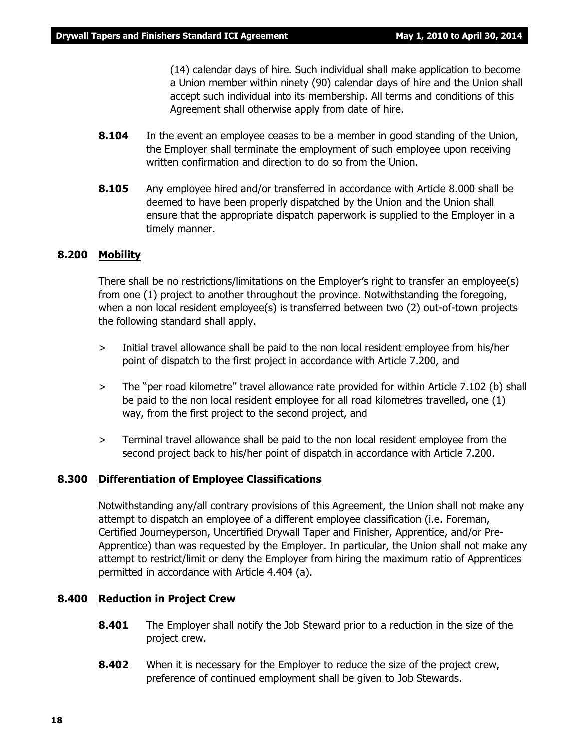(14) calendar days of hire. Such individual shall make application to become a Union member within ninety (90) calendar days of hire and the Union shall accept such individual into its membership. All terms and conditions of this Agreement shall otherwise apply from date of hire.

- **8.104** In the event an employee ceases to be a member in good standing of the Union, the Employer shall terminate the employment of such employee upon receiving written confirmation and direction to do so from the Union.
- **8.105** Any employee hired and/or transferred in accordance with Article 8.000 shall be deemed to have been properly dispatched by the Union and the Union shall ensure that the appropriate dispatch paperwork is supplied to the Employer in a timely manner.

#### **8.200 Mobility**

There shall be no restrictions/limitations on the Employer's right to transfer an employee(s) from one (1) project to another throughout the province. Notwithstanding the foregoing, when a non local resident employee(s) is transferred between two (2) out-of-town projects the following standard shall apply.

- > Initial travel allowance shall be paid to the non local resident employee from his/her point of dispatch to the first project in accordance with Article 7.200, and
- > The "per road kilometre" travel allowance rate provided for within Article 7.102 (b) shall be paid to the non local resident employee for all road kilometres travelled, one (1) way, from the first project to the second project, and
- > Terminal travel allowance shall be paid to the non local resident employee from the second project back to his/her point of dispatch in accordance with Article 7.200.

#### **8.300 Differentiation of Employee Classifications**

Notwithstanding any/all contrary provisions of this Agreement, the Union shall not make any attempt to dispatch an employee of a different employee classification (i.e. Foreman, Certified Journeyperson, Uncertified Drywall Taper and Finisher, Apprentice, and/or Pre-Apprentice) than was requested by the Employer. In particular, the Union shall not make any attempt to restrict/limit or deny the Employer from hiring the maximum ratio of Apprentices permitted in accordance with Article 4.404 (a).

#### **8.400 Reduction in Project Crew**

- **8.401** The Employer shall notify the Job Steward prior to a reduction in the size of the project crew.
- **8.402** When it is necessary for the Employer to reduce the size of the project crew, preference of continued employment shall be given to Job Stewards.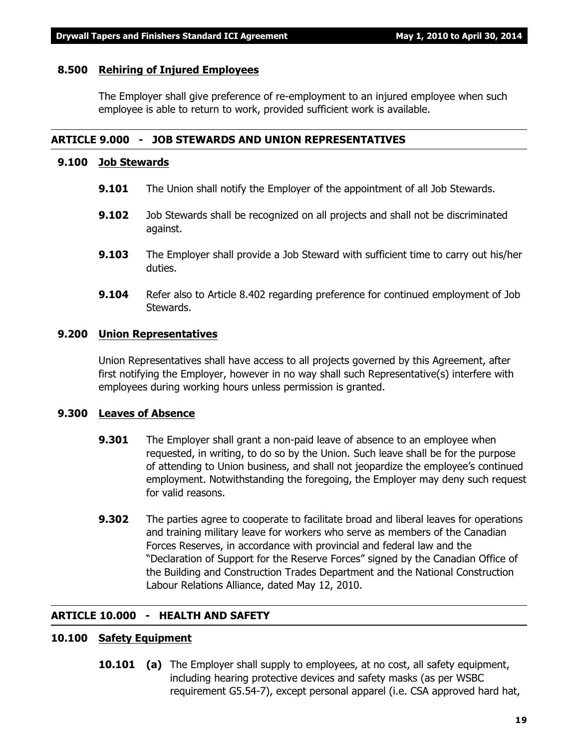#### **8.500 Rehiring of Injured Employees**

The Employer shall give preference of re-employment to an injured employee when such employee is able to return to work, provided sufficient work is available.

#### **ARTICLE 9.000 - JOB STEWARDS AND UNION REPRESENTATIVES**

#### **9.100 Job Stewards**

- **9.101** The Union shall notify the Employer of the appointment of all Job Stewards.
- **9.102** Job Stewards shall be recognized on all projects and shall not be discriminated against.
- **9.103** The Employer shall provide a Job Steward with sufficient time to carry out his/her duties.
- **9.104** Refer also to Article 8.402 regarding preference for continued employment of Job Stewards.

#### **9.200 Union Representatives**

Union Representatives shall have access to all projects governed by this Agreement, after first notifying the Employer, however in no way shall such Representative(s) interfere with employees during working hours unless permission is granted.

#### **9.300 Leaves of Absence**

- **9.301** The Employer shall grant a non-paid leave of absence to an employee when requested, in writing, to do so by the Union. Such leave shall be for the purpose of attending to Union business, and shall not jeopardize the employee's continued employment. Notwithstanding the foregoing, the Employer may deny such request for valid reasons.
- **9.302** The parties agree to cooperate to facilitate broad and liberal leaves for operations and training military leave for workers who serve as members of the Canadian Forces Reserves, in accordance with provincial and federal law and the "Declaration of Support for the Reserve Forces" signed by the Canadian Office of the Building and Construction Trades Department and the National Construction Labour Relations Alliance, dated May 12, 2010.

#### **ARTICLE 10.000 - HEALTH AND SAFETY**

#### **10.100 Safety Equipment**

**10.101 (a)** The Employer shall supply to employees, at no cost, all safety equipment, including hearing protective devices and safety masks (as per WSBC requirement G5.54-7), except personal apparel (i.e. CSA approved hard hat,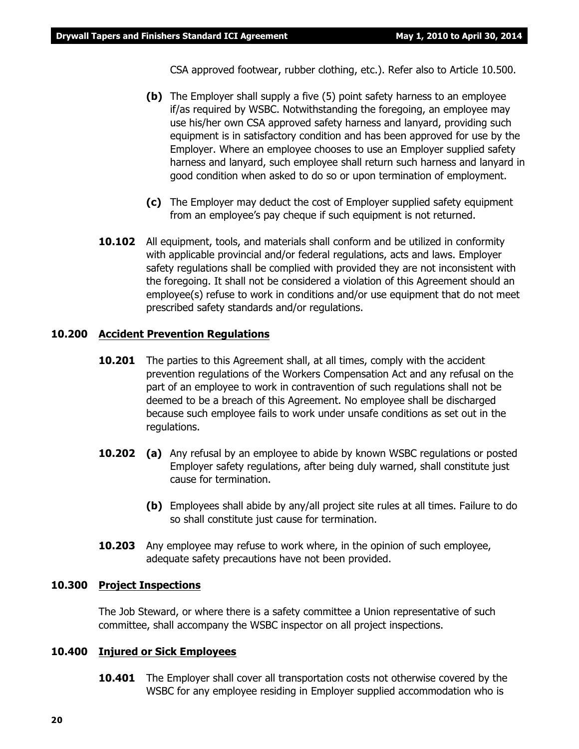CSA approved footwear, rubber clothing, etc.). Refer also to Article 10.500.

- **(b)** The Employer shall supply a five (5) point safety harness to an employee if/as required by WSBC. Notwithstanding the foregoing, an employee may use his/her own CSA approved safety harness and lanyard, providing such equipment is in satisfactory condition and has been approved for use by the Employer. Where an employee chooses to use an Employer supplied safety harness and lanyard, such employee shall return such harness and lanyard in good condition when asked to do so or upon termination of employment.
- **(c)** The Employer may deduct the cost of Employer supplied safety equipment from an employee's pay cheque if such equipment is not returned.
- **10.102** All equipment, tools, and materials shall conform and be utilized in conformity with applicable provincial and/or federal regulations, acts and laws. Employer safety regulations shall be complied with provided they are not inconsistent with the foregoing. It shall not be considered a violation of this Agreement should an employee(s) refuse to work in conditions and/or use equipment that do not meet prescribed safety standards and/or regulations.

#### **10.200 Accident Prevention Regulations**

- **10.201** The parties to this Agreement shall, at all times, comply with the accident prevention regulations of the *Workers Compensation Act* and any refusal on the part of an employee to work in contravention of such regulations shall not be deemed to be a breach of this Agreement. No employee shall be discharged because such employee fails to work under unsafe conditions as set out in the regulations.
- **10.202 (a)** Any refusal by an employee to abide by known WSBC regulations or posted Employer safety regulations, after being duly warned, shall constitute just cause for termination.
	- **(b)** Employees shall abide by any/all project site rules at all times. Failure to do so shall constitute just cause for termination.
- **10.203** Any employee may refuse to work where, in the opinion of such employee, adequate safety precautions have not been provided.

#### **10.300 Project Inspections**

The Job Steward, or where there is a safety committee a Union representative of such committee, shall accompany the WSBC inspector on all project inspections.

#### **10.400 Injured or Sick Employees**

**10.401** The Employer shall cover all transportation costs not otherwise covered by the WSBC for any employee residing in Employer supplied accommodation who is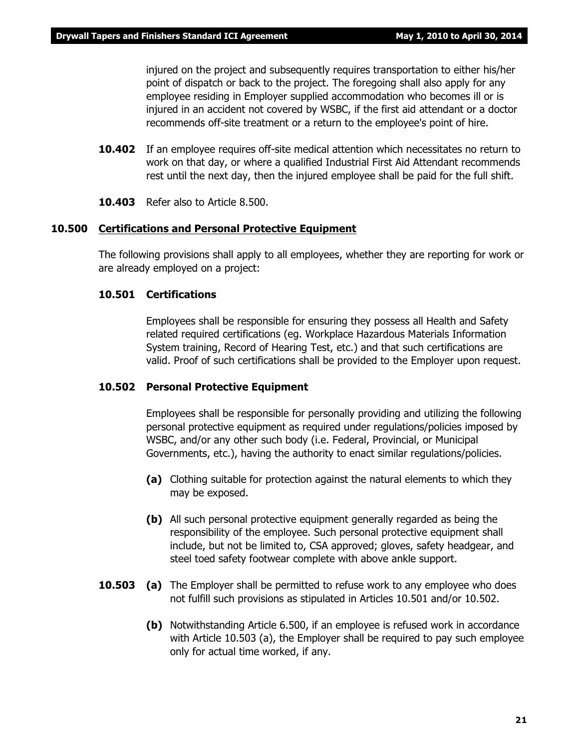injured on the project and subsequently requires transportation to either his/her point of dispatch or back to the project. The foregoing shall also apply for any employee residing in Employer supplied accommodation who becomes ill or is injured in an accident not covered by WSBC, if the first aid attendant or a doctor recommends off-site treatment or a return to the employee's point of hire.

- **10.402** If an employee requires off-site medical attention which necessitates no return to work on that day, or where a qualified Industrial First Aid Attendant recommends rest until the next day, then the injured employee shall be paid for the full shift.
- **10.403** Refer also to Article 8.500.

#### **10.500 Certifications and Personal Protective Equipment**

The following provisions shall apply to all employees, whether they are reporting for work or are already employed on a project:

#### **10.501 Certifications**

Employees shall be responsible for ensuring they possess all Health and Safety related required certifications (eg. Workplace Hazardous Materials Information System training, Record of Hearing Test, etc.) and that such certifications are valid. Proof of such certifications shall be provided to the Employer upon request.

#### **10.502 Personal Protective Equipment**

Employees shall be responsible for personally providing and utilizing the following personal protective equipment as required under regulations/policies imposed by WSBC, and/or any other such body (i.e. Federal, Provincial, or Municipal Governments, etc.), having the authority to enact similar regulations/policies.

- **(a)** Clothing suitable for protection against the natural elements to which they may be exposed.
- **(b)** All such personal protective equipment generally regarded as being the responsibility of the employee. Such personal protective equipment shall include, but not be limited to, CSA approved; gloves, safety headgear, and steel toed safety footwear complete with above ankle support.
- **10.503 (a)** The Employer shall be permitted to refuse work to any employee who does not fulfill such provisions as stipulated in Articles 10.501 and/or 10.502.
	- **(b)** Notwithstanding Article 6.500, if an employee is refused work in accordance with Article 10.503 (a), the Employer shall be required to pay such employee only for actual time worked, if any.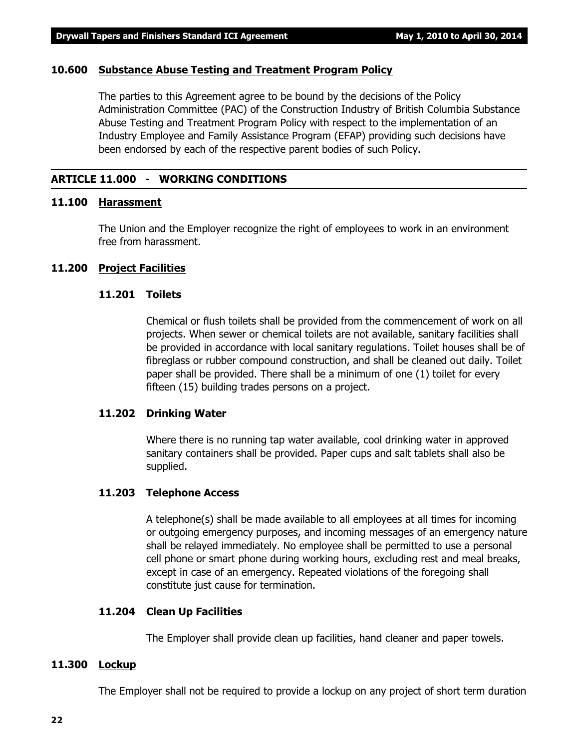#### **10.600 Substance Abuse Testing and Treatment Program Policy**

The parties to this Agreement agree to be bound by the decisions of the Policy Administration Committee (PAC) of the Construction Industry of British Columbia Substance Abuse Testing and Treatment Program Policy with respect to the implementation of an Industry Employee and Family Assistance Program (EFAP) providing such decisions have been endorsed by each of the respective parent bodies of such Policy.

#### **ARTICLE 11.000 - WORKING CONDITIONS**

#### **11.100 Harassment**

The Union and the Employer recognize the right of employees to work in an environment free from harassment.

#### **11.200 Project Facilities**

#### **11.201 Toilets**

Chemical or flush toilets shall be provided from the commencement of work on all projects. When sewer or chemical toilets are not available, sanitary facilities shall be provided in accordance with local sanitary regulations. Toilet houses shall be of fibreglass or rubber compound construction, and shall be cleaned out daily. Toilet paper shall be provided. There shall be a minimum of one (1) toilet for every fifteen (15) building trades persons on a project.

#### **11.202 Drinking Water**

Where there is no running tap water available, cool drinking water in approved sanitary containers shall be provided. Paper cups and salt tablets shall also be supplied.

#### **11.203 Telephone Access**

A telephone(s) shall be made available to all employees at all times for incoming or outgoing emergency purposes, and incoming messages of an emergency nature shall be relayed immediately. No employee shall be permitted to use a personal cell phone or smart phone during working hours, excluding rest and meal breaks, except in case of an emergency. Repeated violations of the foregoing shall constitute just cause for termination.

#### **11.204 Clean Up Facilities**

The Employer shall provide clean up facilities, hand cleaner and paper towels.

#### **11.300 Lockup**

The Employer shall not be required to provide a lockup on any project of short term duration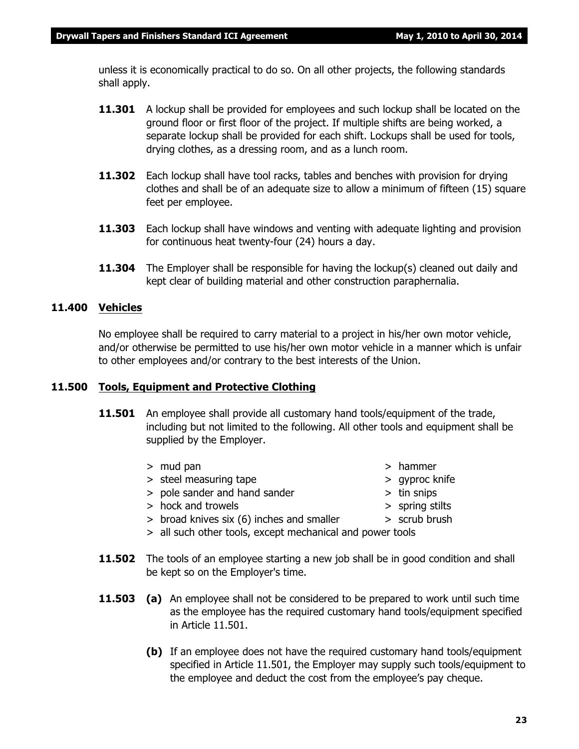unless it is economically practical to do so. On all other projects, the following standards shall apply.

- **11.301** A lockup shall be provided for employees and such lockup shall be located on the ground floor or first floor of the project. If multiple shifts are being worked, a separate lockup shall be provided for each shift. Lockups shall be used for tools, drying clothes, as a dressing room, and as a lunch room.
- **11.302** Each lockup shall have tool racks, tables and benches with provision for drying clothes and shall be of an adequate size to allow a minimum of fifteen (15) square feet per employee.
- **11.303** Each lockup shall have windows and venting with adequate lighting and provision for continuous heat twenty-four (24) hours a day.
- **11.304** The Employer shall be responsible for having the lockup(s) cleaned out daily and kept clear of building material and other construction paraphernalia.

#### **11.400 Vehicles**

No employee shall be required to carry material to a project in his/her own motor vehicle, and/or otherwise be permitted to use his/her own motor vehicle in a manner which is unfair to other employees and/or contrary to the best interests of the Union.

#### **11.500 Tools, Equipment and Protective Clothing**

- **11.501** An employee shall provide all customary hand tools/equipment of the trade, including but not limited to the following. All other tools and equipment shall be supplied by the Employer.
	- > mud pan > hammer
	- > steel measuring tape > qyproc knife
	- > pole sander and hand sander > tin snips
	- > hock and trowels > spring stilts
	- > broad knives six (6) inches and smaller > scrub brush
	- > all such other tools, except mechanical and power tools
- **11.502** The tools of an employee starting a new job shall be in good condition and shall be kept so on the Employer's time.
- **11.503 (a)** An employee shall not be considered to be prepared to work until such time as the employee has the required customary hand tools/equipment specified in Article 11.501.
	- **(b)** If an employee does not have the required customary hand tools/equipment specified in Article 11.501, the Employer may supply such tools/equipment to the employee and deduct the cost from the employee's pay cheque.
		- **23**
- 
- 
- 
- 
-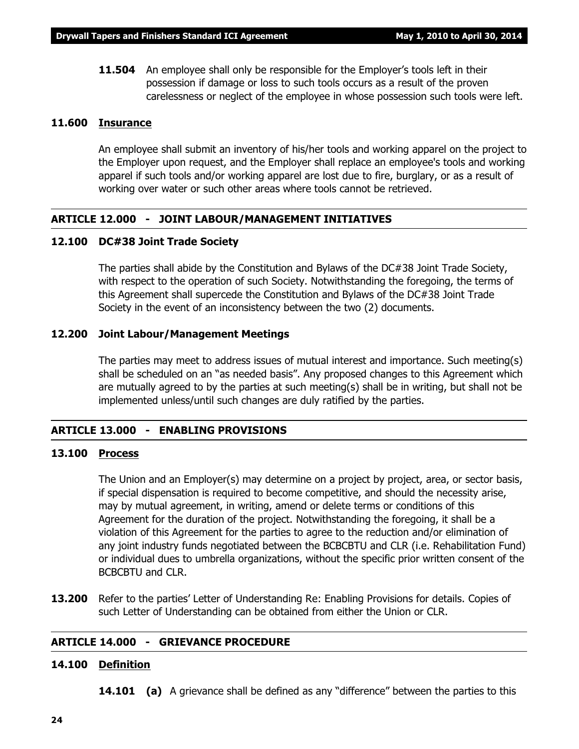**11.504** An employee shall only be responsible for the Employer's tools left in their possession if damage or loss to such tools occurs as a result of the proven carelessness or neglect of the employee in whose possession such tools were left.

#### **11.600 Insurance**

An employee shall submit an inventory of his/her tools and working apparel on the project to the Employer upon request, and the Employer shall replace an employee's tools and working apparel if such tools and/or working apparel are lost due to fire, burglary, or as a result of working over water or such other areas where tools cannot be retrieved.

#### **ARTICLE 12.000 - JOINT LABOUR/MANAGEMENT INITIATIVES**

#### **12.100 DC#38 Joint Trade Society**

The parties shall abide by the Constitution and Bylaws of the DC#38 Joint Trade Society, with respect to the operation of such Society. Notwithstanding the foregoing, the terms of this Agreement shall supercede the Constitution and Bylaws of the DC#38 Joint Trade Society in the event of an inconsistency between the two (2) documents.

#### **12.200 Joint Labour/Management Meetings**

The parties may meet to address issues of mutual interest and importance. Such meeting(s) shall be scheduled on an "as needed basis". Any proposed changes to this Agreement which are mutually agreed to by the parties at such meeting(s) shall be in writing, but shall not be implemented unless/until such changes are duly ratified by the parties.

#### **ARTICLE 13.000 - ENABLING PROVISIONS**

#### **13.100 Process**

The Union and an Employer(s) may determine on a project by project, area, or sector basis, if special dispensation is required to become competitive, and should the necessity arise, may by mutual agreement, in writing, amend or delete terms or conditions of this Agreement for the duration of the project. Notwithstanding the foregoing, it shall be a violation of this Agreement for the parties to agree to the reduction and/or elimination of any joint industry funds negotiated between the BCBCBTU and CLR (i.e. Rehabilitation Fund) or individual dues to umbrella organizations, without the specific prior written consent of the BCBCBTU and CLR.

**13.200** Refer to the parties' Letter of Understanding Re: Enabling Provisions for details. Copies of such Letter of Understanding can be obtained from either the Union or CLR.

#### **ARTICLE 14.000 - GRIEVANCE PROCEDURE**

#### **14.100 Definition**

**14.101 (a)** A grievance shall be defined as any "difference" between the parties to this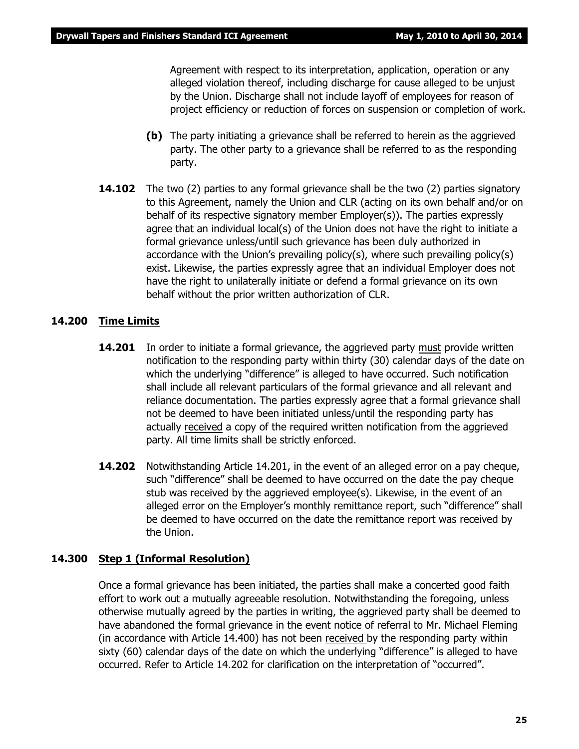Agreement with respect to its interpretation, application, operation or any alleged violation thereof, including discharge for cause alleged to be unjust by the Union. Discharge shall not include layoff of employees for reason of project efficiency or reduction of forces on suspension or completion of work.

- **(b)** The party initiating a grievance shall be referred to herein as the aggrieved party. The other party to a grievance shall be referred to as the responding party.
- **14.102** The two (2) parties to any formal grievance shall be the two (2) parties signatory to this Agreement, namely the Union and CLR (acting on its own behalf and/or on behalf of its respective signatory member Employer(s)). The parties expressly agree that an individual local(s) of the Union does not have the right to initiate a formal grievance unless/until such grievance has been duly authorized in accordance with the Union's prevailing policy(s), where such prevailing policy(s) exist. Likewise, the parties expressly agree that an individual Employer does not have the right to unilaterally initiate or defend a formal grievance on its own behalf without the prior written authorization of CLR.

#### **14.200 Time Limits**

- **14.201** In order to initiate a formal grievance, the aggrieved party must provide written notification to the responding party within thirty (30) calendar days of the date on which the underlying "difference" is alleged to have occurred. Such notification shall include all relevant particulars of the formal grievance and all relevant and reliance documentation. The parties expressly agree that a formal grievance shall not be deemed to have been initiated unless/until the responding party has actually received a copy of the required written notification from the aggrieved party. All time limits shall be strictly enforced.
- **14.202** Notwithstanding Article 14.201, in the event of an alleged error on a pay cheque, such "difference" shall be deemed to have occurred on the date the pay cheque stub was received by the aggrieved employee(s). Likewise, in the event of an alleged error on the Employer's monthly remittance report, such "difference" shall be deemed to have occurred on the date the remittance report was received by the Union.

#### **14.300 Step 1 (Informal Resolution)**

Once a formal grievance has been initiated, the parties shall make a concerted good faith effort to work out a mutually agreeable resolution. Notwithstanding the foregoing, unless otherwise mutually agreed by the parties in writing, the aggrieved party shall be deemed to have abandoned the formal grievance in the event notice of referral to Mr. Michael Fleming (in accordance with Article 14.400) has not been received by the responding party within sixty (60) calendar days of the date on which the underlying "difference" is alleged to have occurred. Refer to Article 14.202 for clarification on the interpretation of "occurred".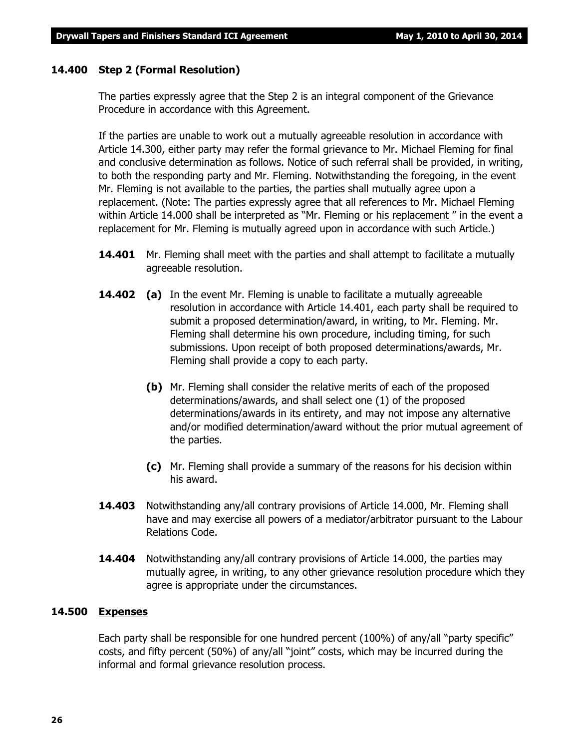#### **14.400 Step 2 (Formal Resolution)**

The parties expressly agree that the Step 2 is an integral component of the Grievance Procedure in accordance with this Agreement.

If the parties are unable to work out a mutually agreeable resolution in accordance with Article 14.300, either party may refer the formal grievance to Mr. Michael Fleming for final and conclusive determination as follows. Notice of such referral shall be provided, in writing, to both the responding party and Mr. Fleming. Notwithstanding the foregoing, in the event Mr. Fleming is not available to the parties, the parties shall mutually agree upon a replacement. (Note: The parties expressly agree that all references to Mr. Michael Fleming within Article 14.000 shall be interpreted as *"Mr. Fleming or his replacement "* in the event a replacement for Mr. Fleming is mutually agreed upon in accordance with such Article.)

- **14.401** Mr. Fleming shall meet with the parties and shall attempt to facilitate a mutually agreeable resolution.
- **14.402 (a)** In the event Mr. Fleming is unable to facilitate a mutually agreeable resolution in accordance with Article 14.401, each party shall be required to submit a proposed determination/award, in writing, to Mr. Fleming. Mr. Fleming shall determine his own procedure, including timing, for such submissions. Upon receipt of both proposed determinations/awards, Mr. Fleming shall provide a copy to each party.
	- **(b)** Mr. Fleming shall consider the relative merits of each of the proposed determinations/awards, and shall select one (1) of the proposed determinations/awards in its entirety, and may not impose any alternative and/or modified determination/award without the prior mutual agreement of the parties.
	- **(c)** Mr. Fleming shall provide a summary of the reasons for his decision within his award.
- **14.403** Notwithstanding any/all contrary provisions of Article 14.000, Mr. Fleming shall have and may exercise all powers of a mediator/arbitrator pursuant to the *Labour Relations Code.*
- **14.404** Notwithstanding any/all contrary provisions of Article 14.000, the parties may mutually agree, in writing, to any other grievance resolution procedure which they agree is appropriate under the circumstances.

#### **14.500 Expenses**

Each party shall be responsible for one hundred percent (100%) of any/all "party specific" costs, and fifty percent (50%) of any/all "joint" costs, which may be incurred during the informal and formal grievance resolution process.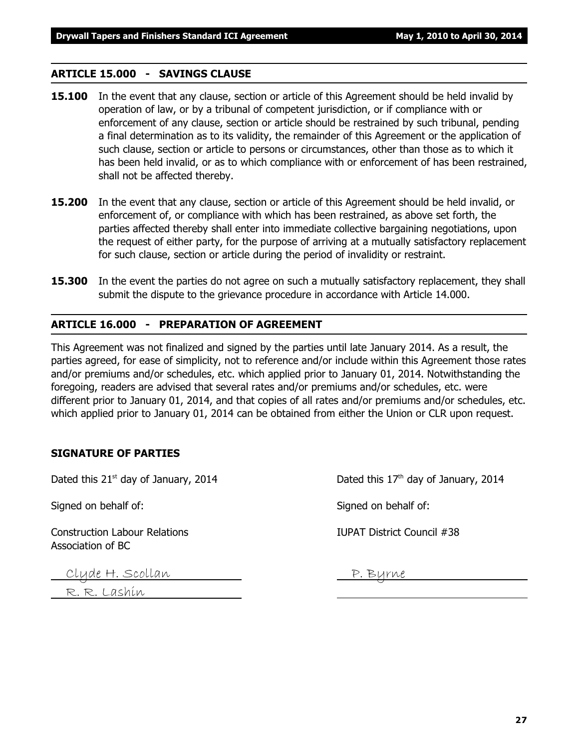#### **ARTICLE 15.000 - SAVINGS CLAUSE**

- **15.100** In the event that any clause, section or article of this Agreement should be held invalid by operation of law, or by a tribunal of competent jurisdiction, or if compliance with or enforcement of any clause, section or article should be restrained by such tribunal, pending a final determination as to its validity, the remainder of this Agreement or the application of such clause, section or article to persons or circumstances, other than those as to which it has been held invalid, or as to which compliance with or enforcement of has been restrained, shall not be affected thereby.
- **15.200** In the event that any clause, section or article of this Agreement should be held invalid, or enforcement of, or compliance with which has been restrained, as above set forth, the parties affected thereby shall enter into immediate collective bargaining negotiations, upon the request of either party, for the purpose of arriving at a mutually satisfactory replacement for such clause, section or article during the period of invalidity or restraint.
- **15.300** In the event the parties do not agree on such a mutually satisfactory replacement, they shall submit the dispute to the grievance procedure in accordance with Article 14.000.

#### **ARTICLE 16.000 - PREPARATION OF AGREEMENT**

This Agreement was not finalized and signed by the parties until late January 2014. As a result, the parties agreed, for ease of simplicity, not to reference and/or include within this Agreement those rates and/or premiums and/or schedules, etc. which applied prior to January 01, 2014. Notwithstanding the foregoing, readers are advised that several rates and/or premiums and/or schedules, etc. were different prior to January 01, 2014, and that copies of all rates and/or premiums and/or schedules, etc. which applied prior to January 01, 2014 can be obtained from either the Union or CLR upon request.

#### **SIGNATURE OF PARTIES**

Signed on behalf of: Signed on behalf of:

Construction Labour Relations IUPAT District Council #38 Association of BC

Clyde H. Scollan <u>John Burne</u>

R. R. Lashin

Dated this  $21^{st}$  day of January, 2014 Dated this  $17^{th}$  day of January, 2014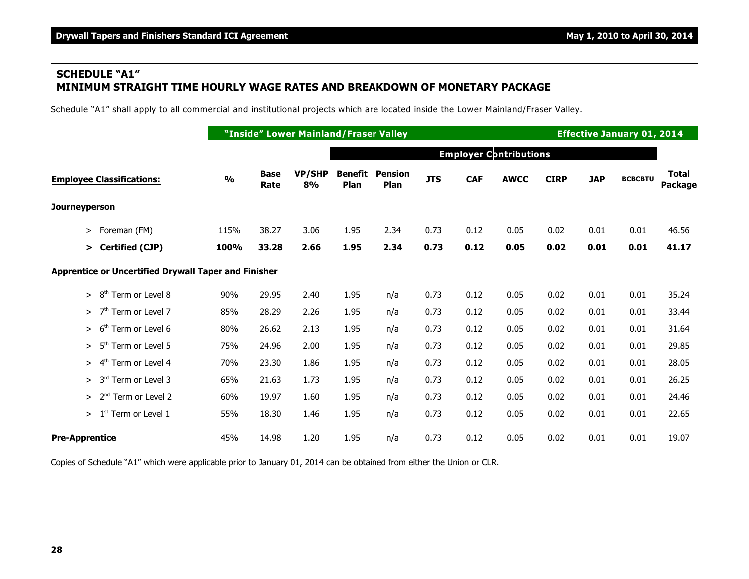# **SCHEDULE "A1" MINIMUM STRAIGHT TIME HOURLY WAGE RATES AND BREAKDOWN OF MONETARY PACKAGE**

Schedule "A1" shall apply to all commercial and institutional projects which are located inside the Lower Mainland/Fraser Valley.

|                                                      |               | "Inside" Lower Mainland/Fraser Valley |              |                        |                        |            |            | <b>Effective January 01, 2014</b> |             |            |                |                         |
|------------------------------------------------------|---------------|---------------------------------------|--------------|------------------------|------------------------|------------|------------|-----------------------------------|-------------|------------|----------------|-------------------------|
|                                                      |               |                                       |              |                        |                        |            |            | <b>Employer Contributions</b>     |             |            |                |                         |
| <b>Employee Classifications:</b>                     | $\frac{0}{0}$ | <b>Base</b><br>Rate                   | VP/SHP<br>8% | <b>Benefit</b><br>Plan | <b>Pension</b><br>Plan | <b>JTS</b> | <b>CAF</b> | <b>AWCC</b>                       | <b>CIRP</b> | <b>JAP</b> | <b>BCBCBTU</b> | <b>Total</b><br>Package |
| Journeyperson                                        |               |                                       |              |                        |                        |            |            |                                   |             |            |                |                         |
| Foreman (FM)<br>$\geq$                               | 115%          | 38.27                                 | 3.06         | 1.95                   | 2.34                   | 0.73       | 0.12       | 0.05                              | 0.02        | 0.01       | 0.01           | 46.56                   |
| <b>Certified (CJP)</b><br>$\geq$                     | 100%          | 33.28                                 | 2.66         | 1.95                   | 2.34                   | 0.73       | 0.12       | 0.05                              | 0.02        | 0.01       | 0.01           | 41.17                   |
| Apprentice or Uncertified Drywall Taper and Finisher |               |                                       |              |                        |                        |            |            |                                   |             |            |                |                         |
| Term or Level 8<br>8 <sup>th</sup><br>$\geq$         | 90%           | 29.95                                 | 2.40         | 1.95                   | n/a                    | 0.73       | 0.12       | 0.05                              | 0.02        | 0.01       | 0.01           | 35.24                   |
| 7 <sup>th</sup> Term or Level 7<br>$\geq$            | 85%           | 28.29                                 | 2.26         | 1.95                   | n/a                    | 0.73       | 0.12       | 0.05                              | 0.02        | 0.01       | 0.01           | 33.44                   |
| Term or Level 6<br>6 <sup>th</sup><br>$\geq$         | 80%           | 26.62                                 | 2.13         | 1.95                   | n/a                    | 0.73       | 0.12       | 0.05                              | 0.02        | 0.01       | 0.01           | 31.64                   |
| $-5$ <sup>th</sup><br>Term or Level 5<br>$\geq$      | 75%           | 24.96                                 | 2.00         | 1.95                   | n/a                    | 0.73       | 0.12       | 0.05                              | 0.02        | 0.01       | 0.01           | 29.85                   |
| 4 <sup>th</sup><br>Term or Level 4<br>$\geq$         | 70%           | 23.30                                 | 1.86         | 1.95                   | n/a                    | 0.73       | 0.12       | 0.05                              | 0.02        | 0.01       | 0.01           | 28.05                   |
| 3rd Term or Level 3<br>$\geq$                        | 65%           | 21.63                                 | 1.73         | 1.95                   | n/a                    | 0.73       | 0.12       | 0.05                              | 0.02        | 0.01       | 0.01           | 26.25                   |
| 2 <sup>nd</sup> Term or Level 2<br>$\geq$            | 60%           | 19.97                                 | 1.60         | 1.95                   | n/a                    | 0.73       | 0.12       | 0.05                              | 0.02        | 0.01       | 0.01           | 24.46                   |
| $>1st$ Term or Level 1                               | 55%           | 18.30                                 | 1.46         | 1.95                   | n/a                    | 0.73       | 0.12       | 0.05                              | 0.02        | 0.01       | 0.01           | 22.65                   |
| <b>Pre-Apprentice</b>                                | 45%           | 14.98                                 | 1.20         | 1.95                   | n/a                    | 0.73       | 0.12       | 0.05                              | 0.02        | 0.01       | 0.01           | 19.07                   |

Copies of Schedule "A1" which were applicable prior to January 01, 2014 can be obtained from either the Union or CLR.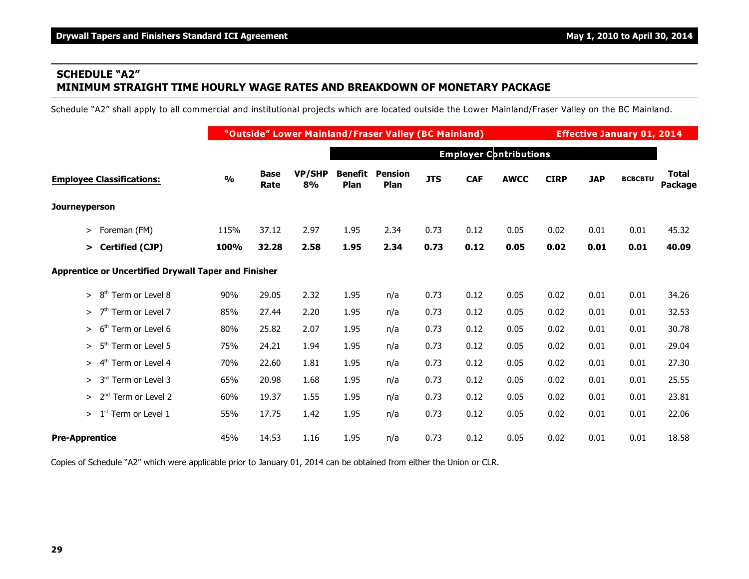# **SCHEDULE "A2" MINIMUM STRAIGHT TIME HOURLY WAGE RATES AND BREAKDOWN OF MONETARY PACKAGE**

Schedule "A2" shall apply to all commercial and institutional projects which are located outside the Lower Mainland/Fraser Valley on the BC Mainland.

|                                                      |               | "Outside" Lower Mainland/Fraser Valley (BC Mainland) |                     | <b>Effective January 01, 2014</b> |                        |            |            |                               |             |            |                |                         |
|------------------------------------------------------|---------------|------------------------------------------------------|---------------------|-----------------------------------|------------------------|------------|------------|-------------------------------|-------------|------------|----------------|-------------------------|
|                                                      |               |                                                      |                     |                                   |                        |            |            | <b>Employer Contributions</b> |             |            |                |                         |
| <b>Employee Classifications:</b>                     | $\frac{0}{0}$ | <b>Base</b><br>Rate                                  | <b>VP/SHP</b><br>8% | Benefit<br>Plan                   | <b>Pension</b><br>Plan | <b>JTS</b> | <b>CAF</b> | <b>AWCC</b>                   | <b>CIRP</b> | <b>JAP</b> | <b>BCBCBTU</b> | <b>Total</b><br>Package |
| Journeyperson                                        |               |                                                      |                     |                                   |                        |            |            |                               |             |            |                |                         |
| Foreman (FM)<br>$\geq$                               | 115%          | 37.12                                                | 2.97                | 1.95                              | 2.34                   | 0.73       | 0.12       | 0.05                          | 0.02        | 0.01       | 0.01           | 45.32                   |
| Certified (CJP)<br>>                                 | 100%          | 32.28                                                | 2.58                | 1.95                              | 2.34                   | 0.73       | 0.12       | 0.05                          | 0.02        | 0.01       | 0.01           | 40.09                   |
| Apprentice or Uncertified Drywall Taper and Finisher |               |                                                      |                     |                                   |                        |            |            |                               |             |            |                |                         |
| 8 <sup>th</sup><br>Term or Level 8<br>$\geq$         | 90%           | 29.05                                                | 2.32                | 1.95                              | n/a                    | 0.73       | 0.12       | 0.05                          | 0.02        | 0.01       | 0.01           | 34.26                   |
| 7 <sup>th</sup> Term or Level 7<br>$\geq$            | 85%           | 27.44                                                | 2.20                | 1.95                              | n/a                    | 0.73       | 0.12       | 0.05                          | 0.02        | 0.01       | 0.01           | 32.53                   |
| 6 <sup>th</sup><br>Term or Level 6<br>$\geq$         | 80%           | 25.82                                                | 2.07                | 1.95                              | n/a                    | 0.73       | 0.12       | 0.05                          | 0.02        | 0.01       | 0.01           | 30.78                   |
| 5 <sup>th</sup><br>Term or Level 5<br>$\geq$         | 75%           | 24.21                                                | 1.94                | 1.95                              | n/a                    | 0.73       | 0.12       | 0.05                          | 0.02        | 0.01       | 0.01           | 29.04                   |
| 4 <sup>th</sup> Term or Level 4<br>$\geq$            | 70%           | 22.60                                                | 1.81                | 1.95                              | n/a                    | 0.73       | 0.12       | 0.05                          | 0.02        | 0.01       | 0.01           | 27.30                   |
| 3 <sup>rd</sup><br>Term or Level 3<br>$\geq$         | 65%           | 20.98                                                | 1.68                | 1.95                              | n/a                    | 0.73       | 0.12       | 0.05                          | 0.02        | 0.01       | 0.01           | 25.55                   |
| 2 <sup>nd</sup> Term or Level 2<br>$\geq$            | 60%           | 19.37                                                | 1.55                | 1.95                              | n/a                    | 0.73       | 0.12       | 0.05                          | 0.02        | 0.01       | 0.01           | 23.81                   |
| 1 <sup>st</sup> Term or Level 1<br>$\geq$            | 55%           | 17.75                                                | 1.42                | 1.95                              | n/a                    | 0.73       | 0.12       | 0.05                          | 0.02        | 0.01       | 0.01           | 22.06                   |
| <b>Pre-Apprentice</b>                                | 45%           | 14.53                                                | 1.16                | 1.95                              | n/a                    | 0.73       | 0.12       | 0.05                          | 0.02        | 0.01       | 0.01           | 18.58                   |

Copies of Schedule "A2" which were applicable prior to January 01, 2014 can be obtained from either the Union or CLR.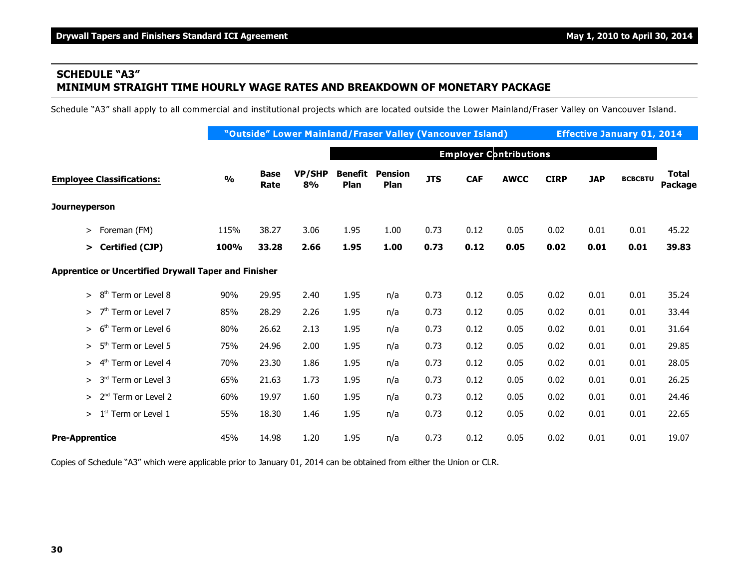# **SCHEDULE "A3" MINIMUM STRAIGHT TIME HOURLY WAGE RATES AND BREAKDOWN OF MONETARY PACKAGE**

Schedule "A3" shall apply to all commercial and institutional projects which are located outside the Lower Mainland/Fraser Valley on Vancouver Island.

|                                                      |               |                     |                     |                 | "Outside" Lower Mainland/Fraser Valley (Vancouver Island) |            |            |                               |             | <b>Effective January 01, 2014</b> |                |                         |  |
|------------------------------------------------------|---------------|---------------------|---------------------|-----------------|-----------------------------------------------------------|------------|------------|-------------------------------|-------------|-----------------------------------|----------------|-------------------------|--|
|                                                      |               |                     |                     |                 |                                                           |            |            | <b>Employer Contributions</b> |             |                                   |                |                         |  |
| <b>Employee Classifications:</b>                     | $\frac{0}{0}$ | <b>Base</b><br>Rate | <b>VP/SHP</b><br>8% | Benefit<br>Plan | <b>Pension</b><br>Plan                                    | <b>JTS</b> | <b>CAF</b> | <b>AWCC</b>                   | <b>CIRP</b> | <b>JAP</b>                        | <b>BCBCBTU</b> | <b>Total</b><br>Package |  |
| Journeyperson                                        |               |                     |                     |                 |                                                           |            |            |                               |             |                                   |                |                         |  |
| Foreman (FM)<br>$\geq$                               | 115%          | 38.27               | 3.06                | 1.95            | 1.00                                                      | 0.73       | 0.12       | 0.05                          | 0.02        | 0.01                              | 0.01           | 45.22                   |  |
| <b>Certified (CJP)</b><br>➤                          | 100%          | 33.28               | 2.66                | 1.95            | 1.00                                                      | 0.73       | 0.12       | 0.05                          | 0.02        | 0.01                              | 0.01           | 39.83                   |  |
| Apprentice or Uncertified Drywall Taper and Finisher |               |                     |                     |                 |                                                           |            |            |                               |             |                                   |                |                         |  |
| 8 <sup>th</sup> Term or Level 8<br>$\geq$            | 90%           | 29.95               | 2.40                | 1.95            | n/a                                                       | 0.73       | 0.12       | 0.05                          | 0.02        | 0.01                              | 0.01           | 35.24                   |  |
| 7 <sup>th</sup> Term or Level 7<br>$\geq$            | 85%           | 28.29               | 2.26                | 1.95            | n/a                                                       | 0.73       | 0.12       | 0.05                          | 0.02        | 0.01                              | 0.01           | 33.44                   |  |
| Term or Level 6<br>6 <sup>th</sup><br>$\geq$         | 80%           | 26.62               | 2.13                | 1.95            | n/a                                                       | 0.73       | 0.12       | 0.05                          | 0.02        | 0.01                              | 0.01           | 31.64                   |  |
| 5 <sup>th</sup><br>Term or Level 5<br>$\geq$         | 75%           | 24.96               | 2.00                | 1.95            | n/a                                                       | 0.73       | 0.12       | 0.05                          | 0.02        | 0.01                              | 0.01           | 29.85                   |  |
| 4 <sup>th</sup> Term or Level 4<br>$\geq$            | 70%           | 23.30               | 1.86                | 1.95            | n/a                                                       | 0.73       | 0.12       | 0.05                          | 0.02        | 0.01                              | 0.01           | 28.05                   |  |
| 3 <sup>rd</sup> Term or Level 3<br>$\geq$            | 65%           | 21.63               | 1.73                | 1.95            | n/a                                                       | 0.73       | 0.12       | 0.05                          | 0.02        | 0.01                              | 0.01           | 26.25                   |  |
| 2 <sup>nd</sup> Term or Level 2<br>$\geq$            | 60%           | 19.97               | 1.60                | 1.95            | n/a                                                       | 0.73       | 0.12       | 0.05                          | 0.02        | 0.01                              | 0.01           | 24.46                   |  |
| 1 <sup>st</sup> Term or Level 1<br>$\geq$            | 55%           | 18.30               | 1.46                | 1.95            | n/a                                                       | 0.73       | 0.12       | 0.05                          | 0.02        | 0.01                              | 0.01           | 22.65                   |  |
| <b>Pre-Apprentice</b>                                | 45%           | 14.98               | 1.20                | 1.95            | n/a                                                       | 0.73       | 0.12       | 0.05                          | 0.02        | 0.01                              | 0.01           | 19.07                   |  |

Copies of Schedule "A3" which were applicable prior to January 01, 2014 can be obtained from either the Union or CLR.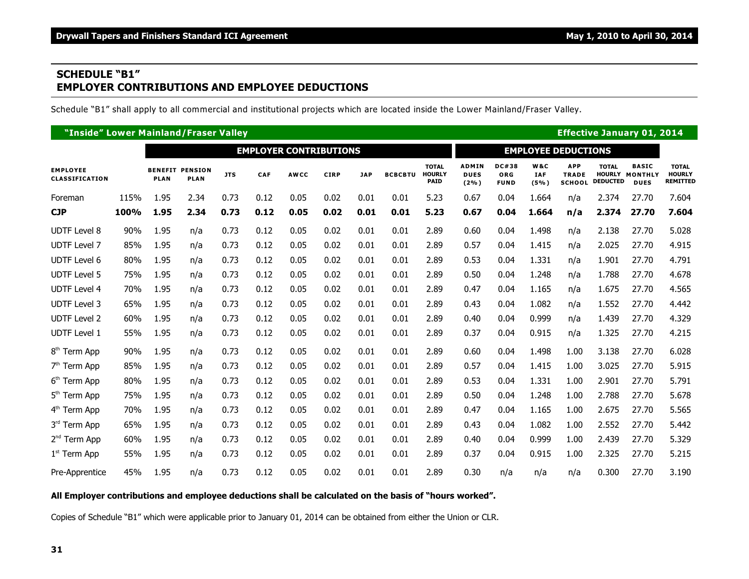## **SCHEDULE "B1" EMPLOYER CONTRIBUTIONS AND EMPLOYEE DEDUCTIONS**

Schedule "B1" shall apply to all commercial and institutional projects which are located inside the Lower Mainland/Fraser Valley.

|                                          | "Inside" Lower Mainland/Fraser Valley |             |                                       |            |      |             |             |            |                |                                              |                                        |                                           |                           |                                             |                                                  | <b>Effective January 01, 2014</b>             |                                                  |  |  |  |  |
|------------------------------------------|---------------------------------------|-------------|---------------------------------------|------------|------|-------------|-------------|------------|----------------|----------------------------------------------|----------------------------------------|-------------------------------------------|---------------------------|---------------------------------------------|--------------------------------------------------|-----------------------------------------------|--------------------------------------------------|--|--|--|--|
|                                          | <b>EMPLOYER CONTRIBUTIONS</b>         |             |                                       |            |      |             |             |            |                |                                              |                                        |                                           |                           | <b>EMPLOYEE DEDUCTIONS</b>                  |                                                  |                                               |                                                  |  |  |  |  |
| <b>EMPLOYEE</b><br><b>CLASSIFICATION</b> |                                       | <b>PLAN</b> | <b>BENEFIT PENSION</b><br><b>PLAN</b> | <b>JTS</b> | CAF  | <b>AWCC</b> | <b>CIRP</b> | <b>JAP</b> | <b>BCBCBTU</b> | <b>TOTAL</b><br><b>HOURLY</b><br><b>PAID</b> | <b>ADMIN</b><br><b>DUES</b><br>$(2\%)$ | <b>DC#38</b><br><b>ORG</b><br><b>FUND</b> | W&C<br><b>IAF</b><br>(5%) | <b>APP</b><br><b>TRADE</b><br><b>SCHOOL</b> | <b>TOTAL</b><br><b>HOURLY</b><br><b>DEDUCTED</b> | <b>BASIC</b><br><b>MONTHLY</b><br><b>DUES</b> | <b>TOTAL</b><br><b>HOURLY</b><br><b>REMITTED</b> |  |  |  |  |
| Foreman                                  | 115%                                  | 1.95        | 2.34                                  | 0.73       | 0.12 | 0.05        | 0.02        | 0.01       | 0.01           | 5.23                                         | 0.67                                   | 0.04                                      | 1.664                     | n/a                                         | 2.374                                            | 27.70                                         | 7.604                                            |  |  |  |  |
| <b>CJP</b>                               | 100%                                  | 1.95        | 2.34                                  | 0.73       | 0.12 | 0.05        | 0.02        | 0.01       | 0.01           | 5.23                                         | 0.67                                   | 0.04                                      | 1.664                     | n/a                                         | 2.374                                            | 27.70                                         | 7.604                                            |  |  |  |  |
| <b>UDTF Level 8</b>                      | 90%                                   | 1.95        | n/a                                   | 0.73       | 0.12 | 0.05        | 0.02        | 0.01       | 0.01           | 2.89                                         | 0.60                                   | 0.04                                      | 1.498                     | n/a                                         | 2.138                                            | 27.70                                         | 5.028                                            |  |  |  |  |
| <b>UDTF Level 7</b>                      | 85%                                   | 1.95        | n/a                                   | 0.73       | 0.12 | 0.05        | 0.02        | 0.01       | 0.01           | 2.89                                         | 0.57                                   | 0.04                                      | 1.415                     | n/a                                         | 2.025                                            | 27.70                                         | 4.915                                            |  |  |  |  |
| <b>UDTF Level 6</b>                      | 80%                                   | 1.95        | n/a                                   | 0.73       | 0.12 | 0.05        | 0.02        | 0.01       | 0.01           | 2.89                                         | 0.53                                   | 0.04                                      | 1.331                     | n/a                                         | 1.901                                            | 27.70                                         | 4.791                                            |  |  |  |  |
| <b>UDTF Level 5</b>                      | 75%                                   | 1.95        | n/a                                   | 0.73       | 0.12 | 0.05        | 0.02        | 0.01       | 0.01           | 2.89                                         | 0.50                                   | 0.04                                      | 1.248                     | n/a                                         | 1.788                                            | 27.70                                         | 4.678                                            |  |  |  |  |
| <b>UDTF Level 4</b>                      | 70%                                   | 1.95        | n/a                                   | 0.73       | 0.12 | 0.05        | 0.02        | 0.01       | 0.01           | 2.89                                         | 0.47                                   | 0.04                                      | 1.165                     | n/a                                         | 1.675                                            | 27.70                                         | 4.565                                            |  |  |  |  |
| <b>UDTF Level 3</b>                      | 65%                                   | 1.95        | n/a                                   | 0.73       | 0.12 | 0.05        | 0.02        | 0.01       | 0.01           | 2.89                                         | 0.43                                   | 0.04                                      | 1.082                     | n/a                                         | 1.552                                            | 27.70                                         | 4.442                                            |  |  |  |  |
| <b>UDTF Level 2</b>                      | 60%                                   | 1.95        | n/a                                   | 0.73       | 0.12 | 0.05        | 0.02        | 0.01       | 0.01           | 2.89                                         | 0.40                                   | 0.04                                      | 0.999                     | n/a                                         | 1.439                                            | 27.70                                         | 4.329                                            |  |  |  |  |
| <b>UDTF Level 1</b>                      | 55%                                   | 1.95        | n/a                                   | 0.73       | 0.12 | 0.05        | 0.02        | 0.01       | 0.01           | 2.89                                         | 0.37                                   | 0.04                                      | 0.915                     | n/a                                         | 1.325                                            | 27.70                                         | 4.215                                            |  |  |  |  |
| 8 <sup>th</sup> Term App                 | 90%                                   | 1.95        | n/a                                   | 0.73       | 0.12 | 0.05        | 0.02        | 0.01       | 0.01           | 2.89                                         | 0.60                                   | 0.04                                      | 1.498                     | 1.00                                        | 3.138                                            | 27.70                                         | 6.028                                            |  |  |  |  |
| 7 <sup>th</sup> Term App                 | 85%                                   | 1.95        | n/a                                   | 0.73       | 0.12 | 0.05        | 0.02        | 0.01       | 0.01           | 2.89                                         | 0.57                                   | 0.04                                      | 1.415                     | 1.00                                        | 3.025                                            | 27.70                                         | 5.915                                            |  |  |  |  |
| 6 <sup>th</sup> Term App                 | 80%                                   | 1.95        | n/a                                   | 0.73       | 0.12 | 0.05        | 0.02        | 0.01       | 0.01           | 2.89                                         | 0.53                                   | 0.04                                      | 1.331                     | 1.00                                        | 2.901                                            | 27.70                                         | 5.791                                            |  |  |  |  |
| 5 <sup>th</sup> Term App                 | 75%                                   | 1.95        | n/a                                   | 0.73       | 0.12 | 0.05        | 0.02        | 0.01       | 0.01           | 2.89                                         | 0.50                                   | 0.04                                      | 1.248                     | 1.00                                        | 2.788                                            | 27.70                                         | 5.678                                            |  |  |  |  |
| 4 <sup>th</sup> Term App                 | 70%                                   | 1.95        | n/a                                   | 0.73       | 0.12 | 0.05        | 0.02        | 0.01       | 0.01           | 2.89                                         | 0.47                                   | 0.04                                      | 1.165                     | 1.00                                        | 2.675                                            | 27.70                                         | 5.565                                            |  |  |  |  |
| 3rd Term App                             | 65%                                   | 1.95        | n/a                                   | 0.73       | 0.12 | 0.05        | 0.02        | 0.01       | 0.01           | 2.89                                         | 0.43                                   | 0.04                                      | 1.082                     | 1.00                                        | 2.552                                            | 27.70                                         | 5.442                                            |  |  |  |  |
| 2 <sup>nd</sup> Term App                 | 60%                                   | 1.95        | n/a                                   | 0.73       | 0.12 | 0.05        | 0.02        | 0.01       | 0.01           | 2.89                                         | 0.40                                   | 0.04                                      | 0.999                     | 1.00                                        | 2.439                                            | 27.70                                         | 5.329                                            |  |  |  |  |
| 1 <sup>st</sup> Term App                 | 55%                                   | 1.95        | n/a                                   | 0.73       | 0.12 | 0.05        | 0.02        | 0.01       | 0.01           | 2.89                                         | 0.37                                   | 0.04                                      | 0.915                     | 1.00                                        | 2.325                                            | 27.70                                         | 5.215                                            |  |  |  |  |
| Pre-Apprentice                           | 45%                                   | 1.95        | n/a                                   | 0.73       | 0.12 | 0.05        | 0.02        | 0.01       | 0.01           | 2.89                                         | 0.30                                   | n/a                                       | n/a                       | n/a                                         | 0.300                                            | 27.70                                         | 3.190                                            |  |  |  |  |

#### **All Employer contributions and employee deductions shall be calculated on the basis of "hours worked".**

Copies of Schedule "B1" which were applicable prior to January 01, 2014 can be obtained from either the Union or CLR.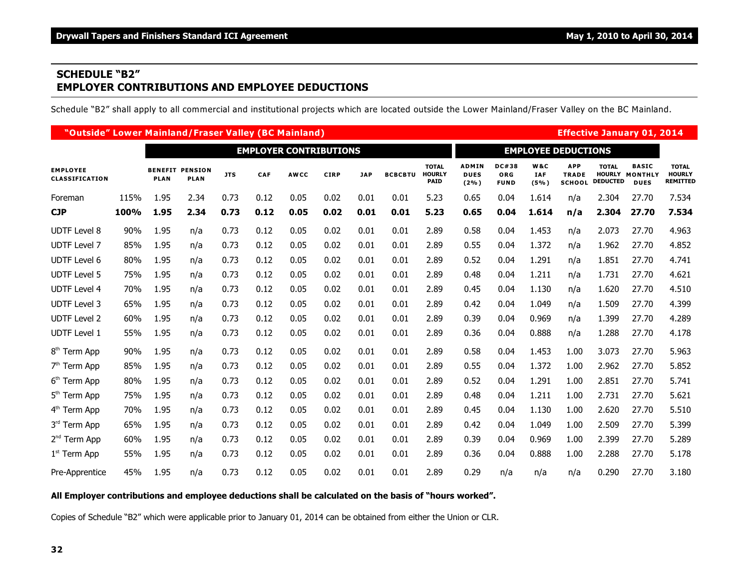## **SCHEDULE "B2" EMPLOYER CONTRIBUTIONS AND EMPLOYEE DEDUCTIONS**

Schedule "B2" shall apply to all commercial and institutional projects which are located outside the Lower Mainland/Fraser Valley on the BC Mainland.

|                                          | "Outside" Lower Mainland/Fraser Valley (BC Mainland) |             |                                       |            |                               |             |             |            |                |                                              |                                        |                                           |                           |                                             |                                                  | <b>Effective January 01, 2014</b>             |                                                  |  |  |
|------------------------------------------|------------------------------------------------------|-------------|---------------------------------------|------------|-------------------------------|-------------|-------------|------------|----------------|----------------------------------------------|----------------------------------------|-------------------------------------------|---------------------------|---------------------------------------------|--------------------------------------------------|-----------------------------------------------|--------------------------------------------------|--|--|
|                                          |                                                      |             |                                       |            | <b>EMPLOYER CONTRIBUTIONS</b> |             |             |            |                |                                              | <b>EMPLOYEE DEDUCTIONS</b>             |                                           |                           |                                             |                                                  |                                               |                                                  |  |  |
| <b>EMPLOYEE</b><br><b>CLASSIFICATION</b> |                                                      | <b>PLAN</b> | <b>BENEFIT PENSION</b><br><b>PLAN</b> | <b>JTS</b> | <b>CAF</b>                    | <b>AWCC</b> | <b>CIRP</b> | <b>JAP</b> | <b>BCBCBTU</b> | <b>TOTAL</b><br><b>HOURLY</b><br><b>PAID</b> | <b>ADMIN</b><br><b>DUES</b><br>$(2\%)$ | <b>DC#38</b><br><b>ORG</b><br><b>FUND</b> | W&C<br><b>IAF</b><br>(5%) | <b>APP</b><br><b>TRADE</b><br><b>SCHOOL</b> | <b>TOTAL</b><br><b>HOURLY</b><br><b>DEDUCTED</b> | <b>BASIC</b><br><b>MONTHLY</b><br><b>DUES</b> | <b>TOTAL</b><br><b>HOURLY</b><br><b>REMITTED</b> |  |  |
| Foreman                                  | 115%                                                 | 1.95        | 2.34                                  | 0.73       | 0.12                          | 0.05        | 0.02        | 0.01       | 0.01           | 5.23                                         | 0.65                                   | 0.04                                      | 1.614                     | n/a                                         | 2.304                                            | 27.70                                         | 7.534                                            |  |  |
| <b>CJP</b>                               | 100%                                                 | 1.95        | 2.34                                  | 0.73       | 0.12                          | 0.05        | 0.02        | 0.01       | 0.01           | 5.23                                         | 0.65                                   | 0.04                                      | 1.614                     | n/a                                         | 2.304                                            | 27.70                                         | 7.534                                            |  |  |
| <b>UDTF Level 8</b>                      | 90%                                                  | 1.95        | n/a                                   | 0.73       | 0.12                          | 0.05        | 0.02        | 0.01       | 0.01           | 2.89                                         | 0.58                                   | 0.04                                      | 1.453                     | n/a                                         | 2.073                                            | 27.70                                         | 4.963                                            |  |  |
| <b>UDTF Level 7</b>                      | 85%                                                  | 1.95        | n/a                                   | 0.73       | 0.12                          | 0.05        | 0.02        | 0.01       | 0.01           | 2.89                                         | 0.55                                   | 0.04                                      | 1.372                     | n/a                                         | 1.962                                            | 27.70                                         | 4.852                                            |  |  |
| <b>UDTF Level 6</b>                      | 80%                                                  | 1.95        | n/a                                   | 0.73       | 0.12                          | 0.05        | 0.02        | 0.01       | 0.01           | 2.89                                         | 0.52                                   | 0.04                                      | 1.291                     | n/a                                         | 1.851                                            | 27.70                                         | 4.741                                            |  |  |
| <b>UDTF Level 5</b>                      | 75%                                                  | 1.95        | n/a                                   | 0.73       | 0.12                          | 0.05        | 0.02        | 0.01       | 0.01           | 2.89                                         | 0.48                                   | 0.04                                      | 1.211                     | n/a                                         | 1.731                                            | 27.70                                         | 4.621                                            |  |  |
| <b>UDTF Level 4</b>                      | 70%                                                  | 1.95        | n/a                                   | 0.73       | 0.12                          | 0.05        | 0.02        | 0.01       | 0.01           | 2.89                                         | 0.45                                   | 0.04                                      | 1.130                     | n/a                                         | 1.620                                            | 27.70                                         | 4.510                                            |  |  |
| <b>UDTF Level 3</b>                      | 65%                                                  | 1.95        | n/a                                   | 0.73       | 0.12                          | 0.05        | 0.02        | 0.01       | 0.01           | 2.89                                         | 0.42                                   | 0.04                                      | 1.049                     | n/a                                         | 1.509                                            | 27.70                                         | 4.399                                            |  |  |
| <b>UDTF Level 2</b>                      | 60%                                                  | 1.95        | n/a                                   | 0.73       | 0.12                          | 0.05        | 0.02        | 0.01       | 0.01           | 2.89                                         | 0.39                                   | 0.04                                      | 0.969                     | n/a                                         | 1.399                                            | 27.70                                         | 4.289                                            |  |  |
| <b>UDTF Level 1</b>                      | 55%                                                  | 1.95        | n/a                                   | 0.73       | 0.12                          | 0.05        | 0.02        | 0.01       | 0.01           | 2.89                                         | 0.36                                   | 0.04                                      | 0.888                     | n/a                                         | 1.288                                            | 27.70                                         | 4.178                                            |  |  |
| 8 <sup>th</sup> Term App                 | 90%                                                  | 1.95        | n/a                                   | 0.73       | 0.12                          | 0.05        | 0.02        | 0.01       | 0.01           | 2.89                                         | 0.58                                   | 0.04                                      | 1.453                     | 1.00                                        | 3.073                                            | 27.70                                         | 5.963                                            |  |  |
| $7th$ Term App                           | 85%                                                  | 1.95        | n/a                                   | 0.73       | 0.12                          | 0.05        | 0.02        | 0.01       | 0.01           | 2.89                                         | 0.55                                   | 0.04                                      | 1.372                     | 1.00                                        | 2.962                                            | 27.70                                         | 5.852                                            |  |  |
| 6 <sup>th</sup> Term App                 | 80%                                                  | 1.95        | n/a                                   | 0.73       | 0.12                          | 0.05        | 0.02        | 0.01       | 0.01           | 2.89                                         | 0.52                                   | 0.04                                      | 1.291                     | 1.00                                        | 2.851                                            | 27.70                                         | 5.741                                            |  |  |
| 5 <sup>th</sup> Term App                 | 75%                                                  | 1.95        | n/a                                   | 0.73       | 0.12                          | 0.05        | 0.02        | 0.01       | 0.01           | 2.89                                         | 0.48                                   | 0.04                                      | 1.211                     | 1.00                                        | 2.731                                            | 27.70                                         | 5.621                                            |  |  |
| 4 <sup>th</sup> Term App                 | 70%                                                  | 1.95        | n/a                                   | 0.73       | 0.12                          | 0.05        | 0.02        | 0.01       | 0.01           | 2.89                                         | 0.45                                   | 0.04                                      | 1.130                     | 1.00                                        | 2.620                                            | 27.70                                         | 5.510                                            |  |  |
| 3rd Term App                             | 65%                                                  | 1.95        | n/a                                   | 0.73       | 0.12                          | 0.05        | 0.02        | 0.01       | 0.01           | 2.89                                         | 0.42                                   | 0.04                                      | 1.049                     | 1.00                                        | 2.509                                            | 27.70                                         | 5.399                                            |  |  |
| 2 <sup>nd</sup> Term App                 | 60%                                                  | 1.95        | n/a                                   | 0.73       | 0.12                          | 0.05        | 0.02        | 0.01       | 0.01           | 2.89                                         | 0.39                                   | 0.04                                      | 0.969                     | 1.00                                        | 2.399                                            | 27.70                                         | 5.289                                            |  |  |
| $1st$ Term App                           | 55%                                                  | 1.95        | n/a                                   | 0.73       | 0.12                          | 0.05        | 0.02        | 0.01       | 0.01           | 2.89                                         | 0.36                                   | 0.04                                      | 0.888                     | 1.00                                        | 2.288                                            | 27.70                                         | 5.178                                            |  |  |
| Pre-Apprentice                           | 45%                                                  | 1.95        | n/a                                   | 0.73       | 0.12                          | 0.05        | 0.02        | 0.01       | 0.01           | 2.89                                         | 0.29                                   | n/a                                       | n/a                       | n/a                                         | 0.290                                            | 27.70                                         | 3.180                                            |  |  |

#### **All Employer contributions and employee deductions shall be calculated on the basis of "hours worked".**

Copies of Schedule "B2" which were applicable prior to January 01, 2014 can be obtained from either the Union or CLR.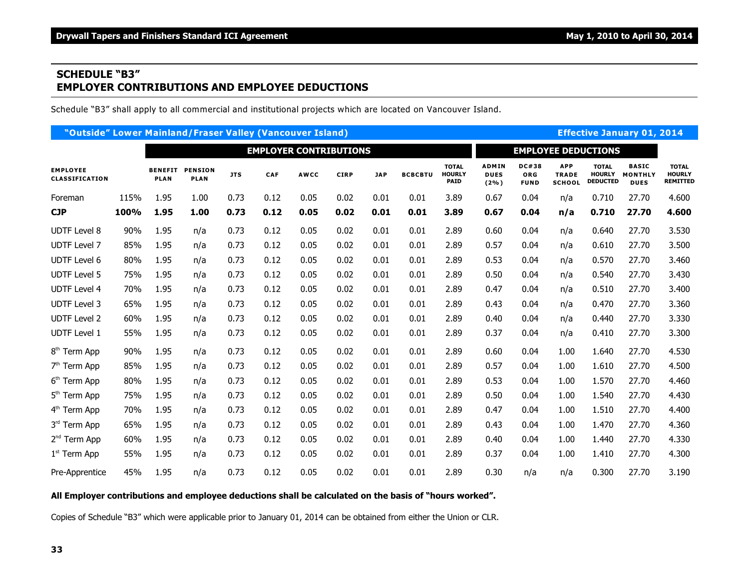## **SCHEDULE "B3" EMPLOYER CONTRIBUTIONS AND EMPLOYEE DEDUCTIONS**

Schedule "B3" shall apply to all commercial and institutional projects which are located on Vancouver Island.

| "Outside" Lower Mainland/Fraser Valley (Vancouver Island) |      |                               |                               |            |            |             |                            |            |                |                                              |                                        |                                    |                                             |                                                  | <b>Effective January 01, 2014</b>             |                                                  |
|-----------------------------------------------------------|------|-------------------------------|-------------------------------|------------|------------|-------------|----------------------------|------------|----------------|----------------------------------------------|----------------------------------------|------------------------------------|---------------------------------------------|--------------------------------------------------|-----------------------------------------------|--------------------------------------------------|
|                                                           |      | <b>EMPLOYER CONTRIBUTIONS</b> |                               |            |            |             | <b>EMPLOYEE DEDUCTIONS</b> |            |                |                                              |                                        |                                    |                                             |                                                  |                                               |                                                  |
| <b>EMPLOYEE</b><br><b>CLASSIFICATION</b>                  |      | <b>BENEFIT</b><br><b>PLAN</b> | <b>PENSION</b><br><b>PLAN</b> | <b>JTS</b> | <b>CAF</b> | <b>AWCC</b> | <b>CIRP</b>                | <b>JAP</b> | <b>BCBCBTU</b> | <b>TOTAL</b><br><b>HOURLY</b><br><b>PAID</b> | <b>ADMIN</b><br><b>DUES</b><br>$(2\%)$ | <b>DC#38</b><br>ORG<br><b>FUND</b> | <b>APP</b><br><b>TRADE</b><br><b>SCHOOL</b> | <b>TOTAL</b><br><b>HOURLY</b><br><b>DEDUCTED</b> | <b>BASIC</b><br><b>MONTHLY</b><br><b>DUES</b> | <b>TOTAL</b><br><b>HOURLY</b><br><b>REMITTED</b> |
| Foreman                                                   | 115% | 1.95                          | 1.00                          | 0.73       | 0.12       | 0.05        | 0.02                       | 0.01       | 0.01           | 3.89                                         | 0.67                                   | 0.04                               | n/a                                         | 0.710                                            | 27.70                                         | 4.600                                            |
| <b>CJP</b>                                                | 100% | 1.95                          | 1.00                          | 0.73       | 0.12       | 0.05        | 0.02                       | 0.01       | 0.01           | 3.89                                         | 0.67                                   | 0.04                               | n/a                                         | 0.710                                            | 27.70                                         | 4.600                                            |
| <b>UDTF Level 8</b>                                       | 90%  | 1.95                          | n/a                           | 0.73       | 0.12       | 0.05        | 0.02                       | 0.01       | 0.01           | 2.89                                         | 0.60                                   | 0.04                               | n/a                                         | 0.640                                            | 27.70                                         | 3.530                                            |
| <b>UDTF Level 7</b>                                       | 85%  | 1.95                          | n/a                           | 0.73       | 0.12       | 0.05        | 0.02                       | 0.01       | 0.01           | 2.89                                         | 0.57                                   | 0.04                               | n/a                                         | 0.610                                            | 27.70                                         | 3.500                                            |
| <b>UDTF Level 6</b>                                       | 80%  | 1.95                          | n/a                           | 0.73       | 0.12       | 0.05        | 0.02                       | 0.01       | 0.01           | 2.89                                         | 0.53                                   | 0.04                               | n/a                                         | 0.570                                            | 27.70                                         | 3.460                                            |
| <b>UDTF Level 5</b>                                       | 75%  | 1.95                          | n/a                           | 0.73       | 0.12       | 0.05        | 0.02                       | 0.01       | 0.01           | 2.89                                         | 0.50                                   | 0.04                               | n/a                                         | 0.540                                            | 27.70                                         | 3.430                                            |
| <b>UDTF Level 4</b>                                       | 70%  | 1.95                          | n/a                           | 0.73       | 0.12       | 0.05        | 0.02                       | 0.01       | 0.01           | 2.89                                         | 0.47                                   | 0.04                               | n/a                                         | 0.510                                            | 27.70                                         | 3.400                                            |
| <b>UDTF Level 3</b>                                       | 65%  | 1.95                          | n/a                           | 0.73       | 0.12       | 0.05        | 0.02                       | 0.01       | 0.01           | 2.89                                         | 0.43                                   | 0.04                               | n/a                                         | 0.470                                            | 27.70                                         | 3.360                                            |
| <b>UDTF Level 2</b>                                       | 60%  | 1.95                          | n/a                           | 0.73       | 0.12       | 0.05        | 0.02                       | 0.01       | 0.01           | 2.89                                         | 0.40                                   | 0.04                               | n/a                                         | 0.440                                            | 27.70                                         | 3.330                                            |
| <b>UDTF Level 1</b>                                       | 55%  | 1.95                          | n/a                           | 0.73       | 0.12       | 0.05        | 0.02                       | 0.01       | 0.01           | 2.89                                         | 0.37                                   | 0.04                               | n/a                                         | 0.410                                            | 27.70                                         | 3.300                                            |
| 8 <sup>th</sup> Term App                                  | 90%  | 1.95                          | n/a                           | 0.73       | 0.12       | 0.05        | 0.02                       | 0.01       | 0.01           | 2.89                                         | 0.60                                   | 0.04                               | 1.00                                        | 1.640                                            | 27.70                                         | 4.530                                            |
| $7th$ Term App                                            | 85%  | 1.95                          | n/a                           | 0.73       | 0.12       | 0.05        | 0.02                       | 0.01       | 0.01           | 2.89                                         | 0.57                                   | 0.04                               | 1.00                                        | 1.610                                            | 27.70                                         | 4.500                                            |
| 6 <sup>th</sup> Term App                                  | 80%  | 1.95                          | n/a                           | 0.73       | 0.12       | 0.05        | 0.02                       | 0.01       | 0.01           | 2.89                                         | 0.53                                   | 0.04                               | 1.00                                        | 1.570                                            | 27.70                                         | 4.460                                            |
| 5 <sup>th</sup> Term App                                  | 75%  | 1.95                          | n/a                           | 0.73       | 0.12       | 0.05        | 0.02                       | 0.01       | 0.01           | 2.89                                         | 0.50                                   | 0.04                               | 1.00                                        | 1.540                                            | 27.70                                         | 4.430                                            |
| 4 <sup>th</sup> Term App                                  | 70%  | 1.95                          | n/a                           | 0.73       | 0.12       | 0.05        | 0.02                       | 0.01       | 0.01           | 2.89                                         | 0.47                                   | 0.04                               | 1.00                                        | 1.510                                            | 27.70                                         | 4.400                                            |
| 3rd Term App                                              | 65%  | 1.95                          | n/a                           | 0.73       | 0.12       | 0.05        | 0.02                       | 0.01       | 0.01           | 2.89                                         | 0.43                                   | 0.04                               | 1.00                                        | 1.470                                            | 27.70                                         | 4.360                                            |
| 2 <sup>nd</sup> Term App                                  | 60%  | 1.95                          | n/a                           | 0.73       | 0.12       | 0.05        | 0.02                       | 0.01       | 0.01           | 2.89                                         | 0.40                                   | 0.04                               | 1.00                                        | 1.440                                            | 27.70                                         | 4.330                                            |
| $1st$ Term App                                            | 55%  | 1.95                          | n/a                           | 0.73       | 0.12       | 0.05        | 0.02                       | 0.01       | 0.01           | 2.89                                         | 0.37                                   | 0.04                               | 1.00                                        | 1.410                                            | 27.70                                         | 4.300                                            |
| Pre-Apprentice                                            | 45%  | 1.95                          | n/a                           | 0.73       | 0.12       | 0.05        | 0.02                       | 0.01       | 0.01           | 2.89                                         | 0.30                                   | n/a                                | n/a                                         | 0.300                                            | 27.70                                         | 3.190                                            |

#### **All Employer contributions and employee deductions shall be calculated on the basis of "hours worked".**

Copies of Schedule "B3" which were applicable prior to January 01, 2014 can be obtained from either the Union or CLR.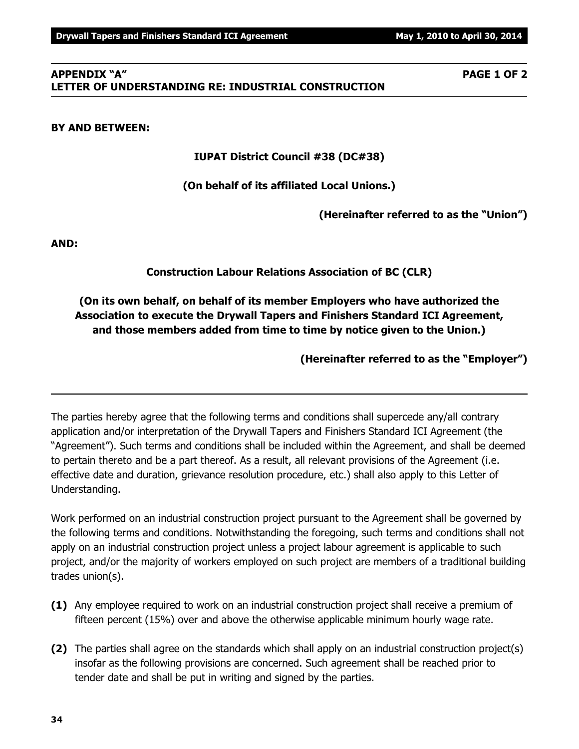#### **APPENDIX "A" PAGE 1 OF 2 LETTER OF UNDERSTANDING RE: INDUSTRIAL CONSTRUCTION**

#### **BY AND BETWEEN:**

**IUPAT District Council #38 (DC#38)**

#### **(On behalf of its affiliated Local Unions.)**

**(Hereinafter referred to as the "Union")**

**AND:**

#### **Construction Labour Relations Association of BC (CLR)**

# **(On its own behalf, on behalf of its member Employers who have authorized the Association to execute the Drywall Tapers and Finishers Standard ICI Agreement, and those members added from time to time by notice given to the Union.)**

**(Hereinafter referred to as the "Employer")**

The parties hereby agree that the following terms and conditions shall supercede any/all contrary application and/or interpretation of the Drywall Tapers and Finishers Standard ICI Agreement (the "Agreement"). Such terms and conditions shall be included within the Agreement, and shall be deemed to pertain thereto and be a part thereof. As a result, all relevant provisions of the Agreement (i.e. effective date and duration, grievance resolution procedure, etc.) shall also apply to this Letter of Understanding.

Work performed on an industrial construction project pursuant to the Agreement shall be governed by the following terms and conditions. Notwithstanding the foregoing, such terms and conditions shall not apply on an industrial construction project unless a project labour agreement is applicable to such project, and/or the majority of workers employed on such project are members of a traditional building trades union(s).

- **(1)** Any employee required to work on an industrial construction project shall receive a premium of fifteen percent (15%) over and above the otherwise applicable minimum hourly wage rate.
- **(2)** The parties shall agree on the standards which shall apply on an industrial construction project(s) insofar as the following provisions are concerned. Such agreement shall be reached prior to tender date and shall be put in writing and signed by the parties.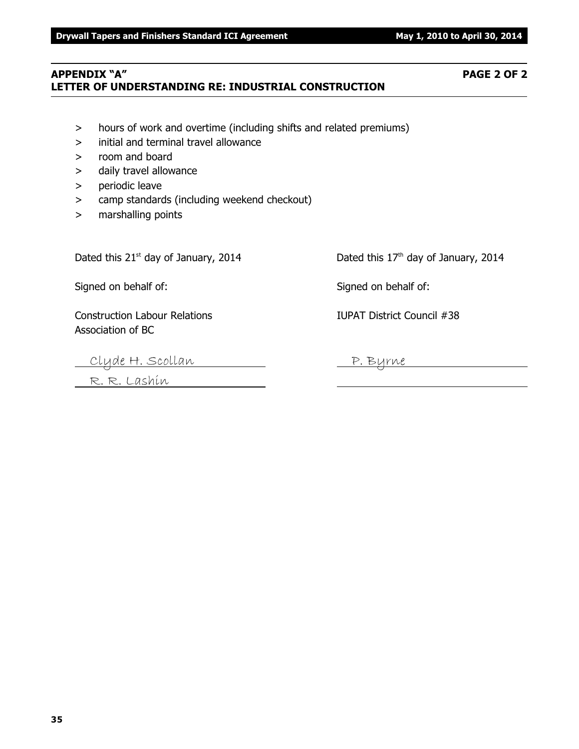#### **APPENDIX "A" PAGE 2 OF 2 LETTER OF UNDERSTANDING RE: INDUSTRIAL CONSTRUCTION**

- > hours of work and overtime (including shifts and related premiums)
- > initial and terminal travel allowance
- > room and board
- > daily travel allowance
- > periodic leave
- > camp standards (including weekend checkout)
- > marshalling points

Dated this  $21<sup>st</sup>$  day of January, 2014 Dated this  $17<sup>th</sup>$  day of January, 2014

Signed on behalf of: Signed on behalf of:

Construction Labour Relations IUPAT District Council #38 Association of BC

Clyde H. Scollan <u>P. Byrne</u>

R. R. Lashin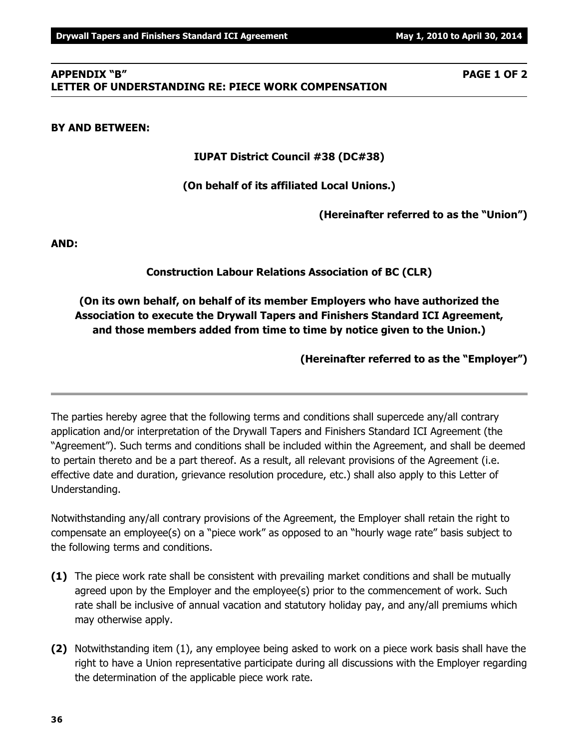## **APPENDIX "B" PAGE 1 OF 2 LETTER OF UNDERSTANDING RE: PIECE WORK COMPENSATION**

## **BY AND BETWEEN:**

**IUPAT District Council #38 (DC#38)**

# **(On behalf of its affiliated Local Unions.)**

**(Hereinafter referred to as the "Union")**

**AND:**

# **Construction Labour Relations Association of BC (CLR)**

# **(On its own behalf, on behalf of its member Employers who have authorized the Association to execute the Drywall Tapers and Finishers Standard ICI Agreement, and those members added from time to time by notice given to the Union.)**

**(Hereinafter referred to as the "Employer")**

The parties hereby agree that the following terms and conditions shall supercede any/all contrary application and/or interpretation of the Drywall Tapers and Finishers Standard ICI Agreement (the "Agreement"). Such terms and conditions shall be included within the Agreement, and shall be deemed to pertain thereto and be a part thereof. As a result, all relevant provisions of the Agreement (i.e. effective date and duration, grievance resolution procedure, etc.) shall also apply to this Letter of Understanding.

Notwithstanding any/all contrary provisions of the Agreement, the Employer shall retain the right to compensate an employee(s) on a "piece work" as opposed to an "hourly wage rate" basis subject to the following terms and conditions.

- **(1)** The piece work rate shall be consistent with prevailing market conditions and shall be mutually agreed upon by the Employer and the employee(s) prior to the commencement of work. Such rate shall be inclusive of annual vacation and statutory holiday pay, and any/all premiums which may otherwise apply.
- **(2)** Notwithstanding item (1), any employee being asked to work on a piece work basis shall have the right to have a Union representative participate during all discussions with the Employer regarding the determination of the applicable piece work rate.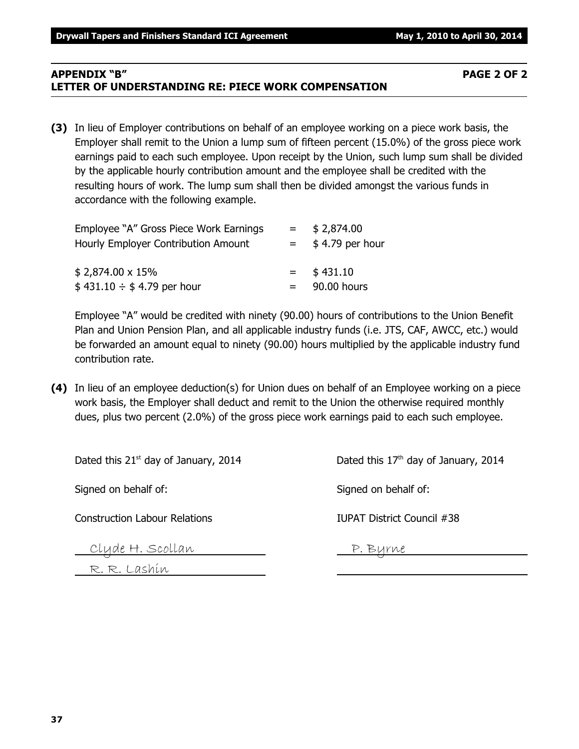#### **APPENDIX "B" PAGE 2 OF 2 LETTER OF UNDERSTANDING RE: PIECE WORK COMPENSATION**

**(3)** In lieu of Employer contributions on behalf of an employee working on a piece work basis, the Employer shall remit to the Union a lump sum of fifteen percent (15.0%) of the gross piece work earnings paid to each such employee. Upon receipt by the Union, such lump sum shall be divided by the applicable hourly contribution amount and the employee shall be credited with the resulting hours of work. The lump sum shall then be divided amongst the various funds in accordance with the following example.

| Employee "A" Gross Piece Work Earnings | $=$     | \$2,874.00       |
|----------------------------------------|---------|------------------|
| Hourly Employer Contribution Amount    |         | $$4.79$ per hour |
| \$2,874.00 x 15%                       | $=$ $-$ | \$431.10         |
| $$431.10 \div $4.79$ per hour          |         | 90.00 hours      |

Employee "A" would be credited with ninety (90.00) hours of contributions to the Union Benefit Plan and Union Pension Plan, and all applicable industry funds (i.e. JTS, CAF, AWCC, etc.) would be forwarded an amount equal to ninety (90.00) hours multiplied by the applicable industry fund contribution rate.

**(4)** In lieu of an employee deduction(s) for Union dues on behalf of an Employee working on a piece work basis, the Employer shall deduct and remit to the Union the otherwise required monthly dues, plus two percent (2.0%) of the gross piece work earnings paid to each such employee.

| Dated this $21^{st}$ day of January, 2014 | Dated this 17 <sup>th</sup> day of January, 2014 |
|-------------------------------------------|--------------------------------------------------|
| Signed on behalf of:                      | Signed on behalf of:                             |
| <b>Construction Labour Relations</b>      | IUPAT District Council #38                       |
| Clyde H. Scollan                          | P. Byrne                                         |

R. R. Lashin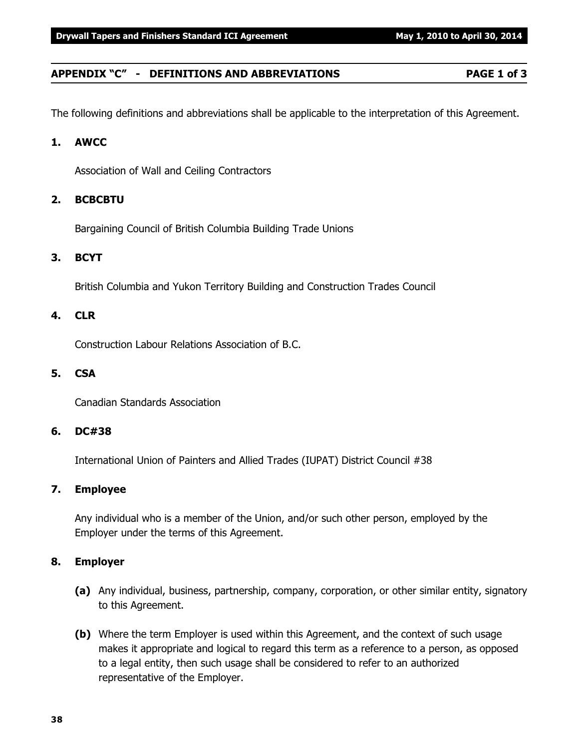#### **APPENDIX "C" - DEFINITIONS AND ABBREVIATIONS PAGE 1 of 3**

The following definitions and abbreviations shall be applicable to the interpretation of this Agreement.

#### **1. AWCC**

Association of Wall and Ceiling Contractors

#### **2. BCBCBTU**

Bargaining Council of British Columbia Building Trade Unions

#### **3. BCYT**

British Columbia and Yukon Territory Building and Construction Trades Council

#### **4. CLR**

Construction Labour Relations Association of B.C.

#### **5. CSA**

Canadian Standards Association

#### **6. DC#38**

International Union of Painters and Allied Trades (IUPAT) District Council #38

#### **7. Employee**

Any individual who is a member of the Union, and/or such other person, employed by the Employer under the terms of this Agreement.

#### **8. Employer**

- **(a)** Any individual, business, partnership, company, corporation, or other similar entity, signatory to this Agreement.
- **(b)** Where the term Employer is used within this Agreement, and the context of such usage makes it appropriate and logical to regard this term as a reference to a person, as opposed to a legal entity, then such usage shall be considered to refer to an authorized representative of the Employer.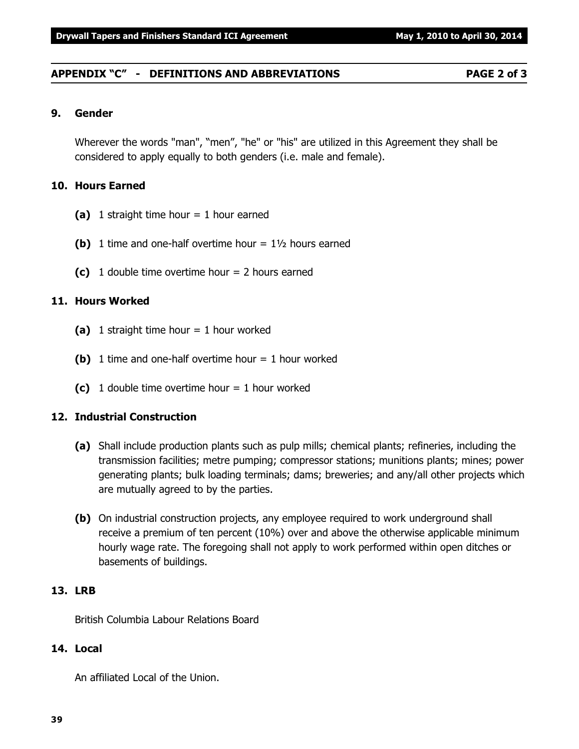#### **APPENDIX "C" - DEFINITIONS AND ABBREVIATIONS PAGE 2 of 3**

#### **9. Gender**

Wherever the words "man", "men", "he" or "his" are utilized in this Agreement they shall be considered to apply equally to both genders (i.e. male and female).

#### **10. Hours Earned**

- **(a)** 1 straight time hour = 1 hour earned
- **(b)** 1 time and one-half overtime hour  $= 1\frac{1}{2}$  hours earned
- **(c)** 1 double time overtime hour = 2 hours earned

#### **11. Hours Worked**

- **(a)** 1 straight time hour = 1 hour worked
- **(b)** 1 time and one-half overtime hour = 1 hour worked
- **(c)** 1 double time overtime hour = 1 hour worked

#### **12. Industrial Construction**

- **(a)** Shall include production plants such as pulp mills; chemical plants; refineries, including the transmission facilities; metre pumping; compressor stations; munitions plants; mines; power generating plants; bulk loading terminals; dams; breweries; and any/all other projects which are mutually agreed to by the parties.
- **(b)** On industrial construction projects, any employee required to work underground shall receive a premium of ten percent (10%) over and above the otherwise applicable minimum hourly wage rate. The foregoing shall not apply to work performed within open ditches or basements of buildings.

#### **13. LRB**

British Columbia Labour Relations Board

#### **14. Local**

An affiliated Local of the Union.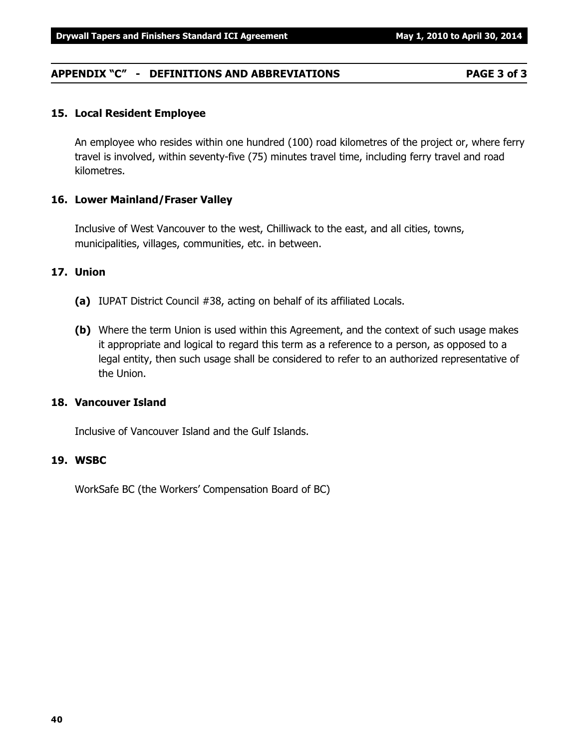**40**

# **APPENDIX "C" - DEFINITIONS AND ABBREVIATIONS PAGE 3 of 3**

# **15. Local Resident Employee**

An employee who resides within one hundred (100) road kilometres of the project or, where ferry travel is involved, within seventy-five (75) minutes travel time, including ferry travel and road kilometres.

# **16. Lower Mainland/Fraser Valley**

Inclusive of West Vancouver to the west, Chilliwack to the east, and all cities, towns, municipalities, villages, communities, etc. in between.

#### **17. Union**

- **(a)** IUPAT District Council #38, acting on behalf of its affiliated Locals.
- **(b)** Where the term Union is used within this Agreement, and the context of such usage makes it appropriate and logical to regard this term as a reference to a person, as opposed to a legal entity, then such usage shall be considered to refer to an authorized representative of the Union.

#### **18. Vancouver Island**

Inclusive of Vancouver Island and the Gulf Islands.

#### **19. WSBC**

WorkSafe BC (the Workers' Compensation Board of BC)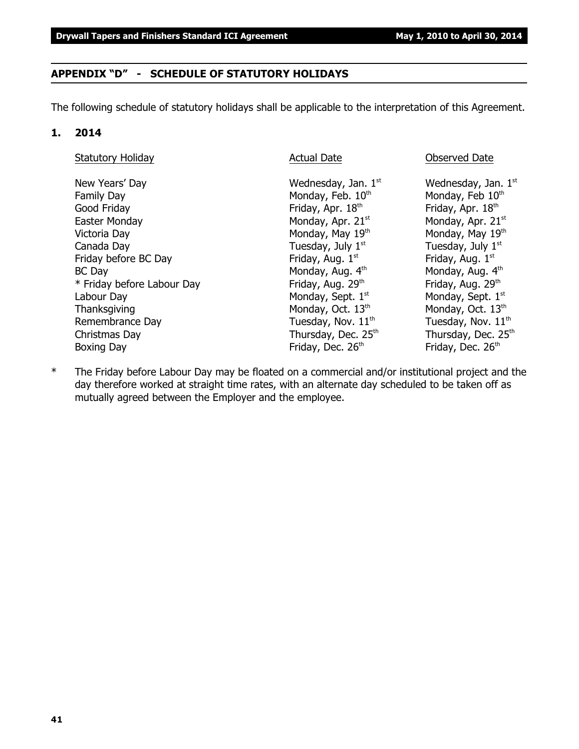#### **APPENDIX "D" - SCHEDULE OF STATUTORY HOLIDAYS**

The following schedule of statutory holidays shall be applicable to the interpretation of this Agreement.

#### **1. 2014**

| <b>Statutory Holiday</b>                                                                                                                                                                                                            | <b>Actual Date</b>                                                                                                                                                                                                                                                                                   | <b>Observed Date</b>                                                                                                                                                                                                                                                                                          |
|-------------------------------------------------------------------------------------------------------------------------------------------------------------------------------------------------------------------------------------|------------------------------------------------------------------------------------------------------------------------------------------------------------------------------------------------------------------------------------------------------------------------------------------------------|---------------------------------------------------------------------------------------------------------------------------------------------------------------------------------------------------------------------------------------------------------------------------------------------------------------|
| New Years' Day<br><b>Family Day</b><br>Good Friday<br>Easter Monday<br>Victoria Day<br>Canada Day<br>Friday before BC Day<br>BC Day<br>* Friday before Labour Day<br>Labour Day<br>Thanksgiving<br>Remembrance Day<br>Christmas Day | Wednesday, Jan. $1st$<br>Monday, Feb. 10th<br>Friday, Apr. 18th<br>Monday, Apr. 21 <sup>st</sup><br>Monday, May 19th<br>Tuesday, July $1st$<br>Friday, Aug. 1st<br>Monday, Aug. 4th<br>Friday, Aug. 29th<br>Monday, Sept. 1st<br>Monday, Oct. 13th<br>Tuesday, Nov. $11^{th}$<br>Thursday, Dec. 25th | Wednesday, Jan. $1st$<br>Monday, Feb 10th<br>Friday, Apr. 18th<br>Monday, Apr. 21st<br>Monday, May 19th<br>Tuesday, July 1 <sup>st</sup><br>Friday, Aug. 1st<br>Monday, Aug. 4th<br>Friday, Aug. 29th<br>Monday, Sept. 1st<br>Monday, Oct. 13th<br>Tuesday, Nov. $11^{th}$<br>Thursday, Dec. 25 <sup>th</sup> |
| Boxing Day                                                                                                                                                                                                                          | Friday, Dec. 26th                                                                                                                                                                                                                                                                                    | Friday, Dec. 26 <sup>th</sup>                                                                                                                                                                                                                                                                                 |

\* The Friday before Labour Day may be floated on a commercial and/or institutional project and the day therefore worked at straight time rates, with an alternate day scheduled to be taken off as mutually agreed between the Employer and the employee.